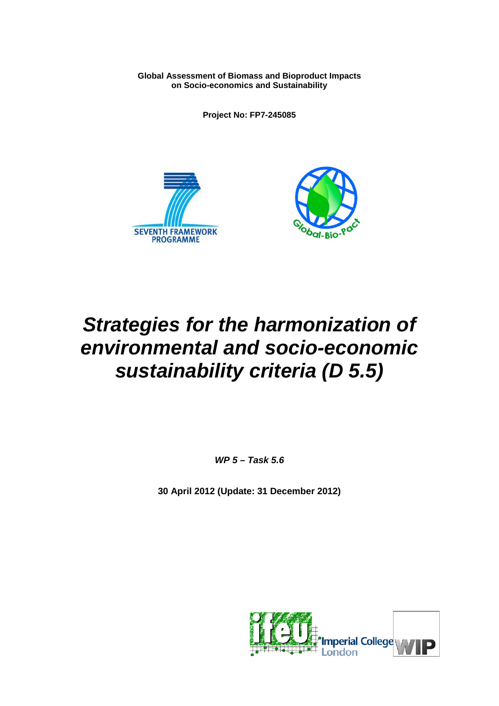**Global Assessment of Biomass and Bioproduct Impacts on Socio-economics and Sustainability**

**Project No: FP7-245085** 





# *Strategies for the harmonization of environmental and socio-economic sustainability criteria (D 5.5)*

*WP 5 – Task 5.6*

**30 April 2012 (Update: 31 December 2012)**

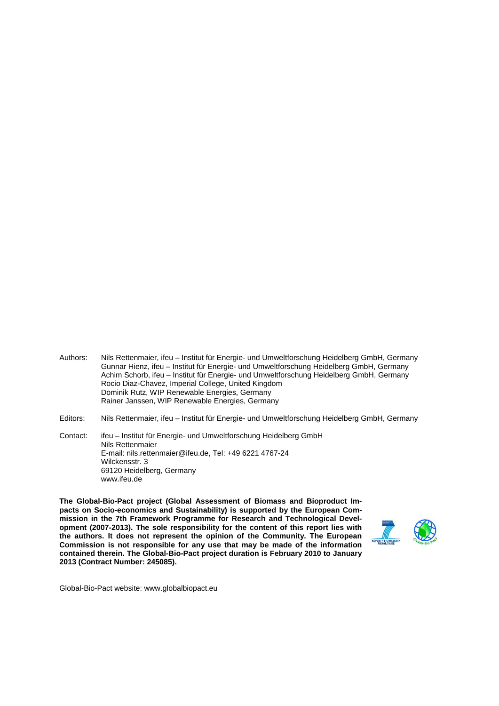- Authors: Nils Rettenmaier, ifeu Institut für Energie- und Umweltforschung Heidelberg GmbH, Germany Gunnar Hienz, ifeu – Institut für Energie- und Umweltforschung Heidelberg GmbH, Germany Achim Schorb, ifeu – Institut für Energie- und Umweltforschung Heidelberg GmbH, Germany Rocio Diaz-Chavez, Imperial College, United Kingdom Dominik Rutz, WIP Renewable Energies, Germany Rainer Janssen, WIP Renewable Energies, Germany
- Editors: Nils Rettenmaier, ifeu Institut für Energie- und Umweltforschung Heidelberg GmbH, Germany

Contact: ifeu – Institut für Energie- und Umweltforschung Heidelberg GmbH Nils Rettenmaier E-mail: nils.rettenmaier@ifeu.de, Tel: +49 6221 4767-24 Wilckensstr. 3 69120 Heidelberg, Germany www.ifeu.de

**The Global-Bio-Pact project (Global Assessment of Biomass and Bioproduct Impacts on Socio-economics and Sustainability) is supported by the European Commission in the 7th Framework Programme for Research and Technological Development (2007-2013). The sole responsibility for the content of this report lies with the authors. It does not represent the opinion of the Community. The European Commission is not responsible for any use that may be made of the information contained therein. The Global-Bio-Pact project duration is February 2010 to January 2013 (Contract Number: 245085).**



Global-Bio-Pact website: www.globalbiopact.eu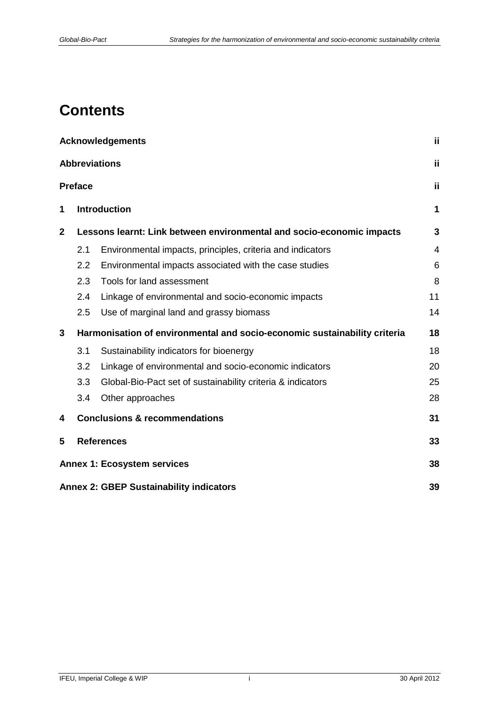## **Contents**

|              |                | <b>Acknowledgements</b>                                                   | Ϊi             |
|--------------|----------------|---------------------------------------------------------------------------|----------------|
|              |                | <b>Abbreviations</b>                                                      | Ϊİ             |
|              | <b>Preface</b> |                                                                           | Ϊİ             |
| 1            |                | <b>Introduction</b>                                                       | 1              |
| $\mathbf{2}$ |                | Lessons learnt: Link between environmental and socio-economic impacts     | 3              |
|              | 2.1            | Environmental impacts, principles, criteria and indicators                | $\overline{4}$ |
|              | 2.2            | Environmental impacts associated with the case studies                    | 6              |
|              | 2.3            | Tools for land assessment                                                 | 8              |
|              | 2.4            | Linkage of environmental and socio-economic impacts                       | 11             |
|              | 2.5            | Use of marginal land and grassy biomass                                   | 14             |
| 3            |                | Harmonisation of environmental and socio-economic sustainability criteria | 18             |
|              | 3.1            | Sustainability indicators for bioenergy                                   | 18             |
|              | 3.2            | Linkage of environmental and socio-economic indicators                    | 20             |
|              | 3.3            | Global-Bio-Pact set of sustainability criteria & indicators               | 25             |
|              | 3.4            | Other approaches                                                          | 28             |
| 4            |                | <b>Conclusions &amp; recommendations</b>                                  | 31             |
| 5            |                | <b>References</b>                                                         | 33             |
|              |                | <b>Annex 1: Ecosystem services</b>                                        | 38             |
|              |                | <b>Annex 2: GBEP Sustainability indicators</b>                            | 39             |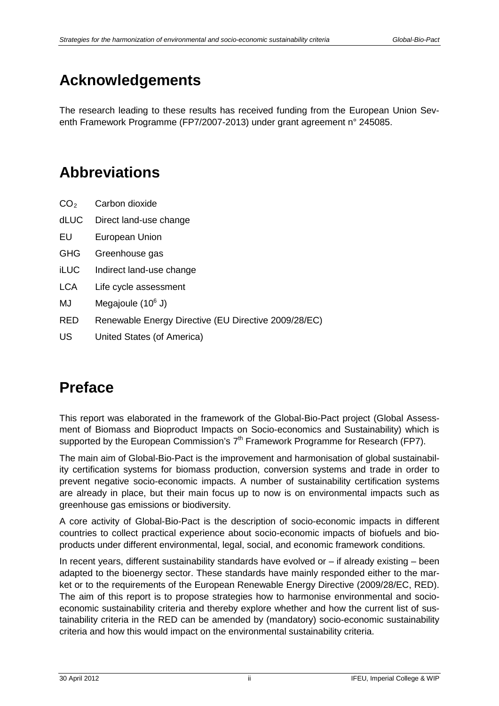## <span id="page-3-0"></span>**Acknowledgements**

<span id="page-3-1"></span>The research leading to these results has received funding from the European Union Seventh Framework Programme (FP7/2007-2013) under grant agreement n° 245085.

## **Abbreviations**

- $CO<sub>2</sub>$  Carbon dioxide
- dLUC Direct land-use change
- EU European Union
- GHG Greenhouse gas
- iLUC Indirect land-use change
- LCA Life cycle assessment
- MJ Megajoule  $(10^6 J)$
- RED Renewable Energy Directive (EU Directive 2009/28/EC)
- <span id="page-3-2"></span>US United States (of America)

## **Preface**

This report was elaborated in the framework of the Global-Bio-Pact project (Global Assessment of Biomass and Bioproduct Impacts on Socio-economics and Sustainability) which is supported by the European Commission's  $7<sup>th</sup>$  Framework Programme for Research (FP7).

The main aim of Global-Bio-Pact is the improvement and harmonisation of global sustainability certification systems for biomass production, conversion systems and trade in order to prevent negative socio-economic impacts. A number of sustainability certification systems are already in place, but their main focus up to now is on environmental impacts such as greenhouse gas emissions or biodiversity.

A core activity of Global-Bio-Pact is the description of socio-economic impacts in different countries to collect practical experience about socio-economic impacts of biofuels and bioproducts under different environmental, legal, social, and economic framework conditions.

In recent years, different sustainability standards have evolved or – if already existing – been adapted to the bioenergy sector. These standards have mainly responded either to the market or to the requirements of the European Renewable Energy Directive (2009/28/EC, RED). The aim of this report is to propose strategies how to harmonise environmental and socioeconomic sustainability criteria and thereby explore whether and how the current list of sustainability criteria in the RED can be amended by (mandatory) socio-economic sustainability criteria and how this would impact on the environmental sustainability criteria.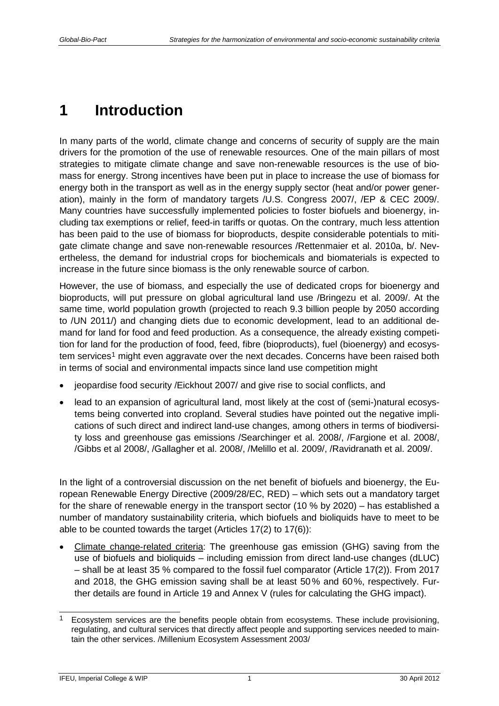## <span id="page-4-0"></span>**1 Introduction**

In many parts of the world, climate change and concerns of security of supply are the main drivers for the promotion of the use of renewable resources. One of the main pillars of most strategies to mitigate climate change and save non-renewable resources is the use of biomass for energy. Strong incentives have been put in place to increase the use of biomass for energy both in the transport as well as in the energy supply sector (heat and/or power generation), mainly in the form of mandatory targets /U.S. Congress 2007/, /EP & CEC 2009/. Many countries have successfully implemented policies to foster biofuels and bioenergy, including tax exemptions or relief, feed-in tariffs or quotas. On the contrary, much less attention has been paid to the use of biomass for bioproducts, despite considerable potentials to mitigate climate change and save non-renewable resources /Rettenmaier et al. 2010a, b/. Nevertheless, the demand for industrial crops for biochemicals and biomaterials is expected to increase in the future since biomass is the only renewable source of carbon.

However, the use of biomass, and especially the use of dedicated crops for bioenergy and bioproducts, will put pressure on global agricultural land use /Bringezu et al. 2009/. At the same time, world population growth (projected to reach 9.3 billion people by 2050 according to /UN 2011/) and changing diets due to economic development, lead to an additional demand for land for food and feed production. As a consequence, the already existing competition for land for the production of food, feed, fibre (bioproducts), fuel (bioenergy) and ecosys-tem services<sup>[1](#page-4-1)</sup> might even aggravate over the next decades. Concerns have been raised both in terms of social and environmental impacts since land use competition might

- jeopardise food security /Eickhout 2007/ and give rise to social conflicts, and
- lead to an expansion of agricultural land, most likely at the cost of (semi-)natural ecosystems being converted into cropland. Several studies have pointed out the negative implications of such direct and indirect land-use changes, among others in terms of biodiversity loss and greenhouse gas emissions /Searchinger et al. 2008/, /Fargione et al. 2008/, /Gibbs et al 2008/, /Gallagher et al. 2008/, /Melillo et al. 2009/, /Ravidranath et al. 2009/.

In the light of a controversial discussion on the net benefit of biofuels and bioenergy, the European Renewable Energy Directive (2009/28/EC, RED) – which sets out a mandatory target for the share of renewable energy in the transport sector (10 % by 2020) – has established a number of mandatory sustainability criteria, which biofuels and bioliquids have to meet to be able to be counted towards the target (Articles 17(2) to 17(6)):

• Climate change-related criteria: The greenhouse gas emission (GHG) saving from the use of biofuels and bioliquids – including emission from direct land-use changes (dLUC) – shall be at least 35 % compared to the fossil fuel comparator (Article 17(2)). From 2017 and 2018, the GHG emission saving shall be at least 50% and 60%, respectively. Further details are found in Article 19 and Annex V (rules for calculating the GHG impact).

-

<span id="page-4-1"></span><sup>1</sup> Ecosystem services are the benefits people obtain from ecosystems. These include provisioning, regulating, and cultural services that directly affect people and supporting services needed to maintain the other services. /Millenium Ecosystem Assessment 2003/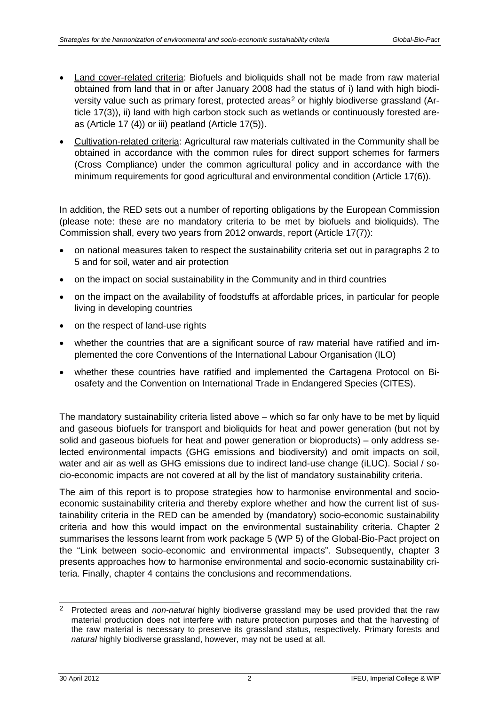- <span id="page-5-0"></span>• Land cover-related criteria: Biofuels and bioliquids shall not be made from raw material obtained from land that in or after January 2008 had the status of i) land with high biodi-versity value such as primary forest, protected areas<sup>[2](#page-5-1)</sup> or highly bio[d](#page-5-0)iverse grassland (Article 17(3)), ii) land with high carbon stock such as wetlands or continuously forested areas (Article 17 (4)) or iii) peatland (Article 17(5)).
- Cultivation-related criteria: Agricultural raw materials cultivated in the Community shall be obtained in accordance with the common rules for direct support schemes for farmers (Cross Compliance) under the common agricultural policy and in accordance with the minimum requirements for good agricultural and environmental condition (Article 17(6)).

In addition, the RED sets out a number of reporting obligations by the European Commission (please note: these are no mandatory criteria to be met by biofuels and bioliquids). The Commission shall, every two years from 2012 onwards, report (Article 17(7)):

- on national measures taken to respect the sustainability criteria set out in paragraphs 2 to 5 and for soil, water and air protection
- on the impact on social sustainability in the Community and in third countries
- on the impact on the availability of foodstuffs at affordable prices, in particular for people living in developing countries
- on the respect of land-use rights
- whether the countries that are a significant source of raw material have ratified and implemented the core Conventions of the International Labour Organisation (ILO)
- whether these countries have ratified and implemented the Cartagena Protocol on Biosafety and the Convention on International Trade in Endangered Species (CITES).

The mandatory sustainability criteria listed above – which so far only have to be met by liquid and gaseous biofuels for transport and bioliquids for heat and power generation (but not by solid and gaseous biofuels for heat and power generation or bioproducts) – only address selected environmental impacts (GHG emissions and biodiversity) and omit impacts on soil, water and air as well as GHG emissions due to indirect land-use change (iLUC). Social / socio-economic impacts are not covered at all by the list of mandatory sustainability criteria.

The aim of this report is to propose strategies how to harmonise environmental and socioeconomic sustainability criteria and thereby explore whether and how the current list of sustainability criteria in the RED can be amended by (mandatory) socio-economic sustainability criteria and how this would impact on the environmental sustainability criteria. Chapter [2](#page-6-0) summarises the lessons learnt from work package 5 (WP 5) of the Global-Bio-Pact project on the "Link between socio-economic and environmental impacts". Subsequently, chapter [3](#page-21-0) presents approaches how to harmonise environmental and socio-economic sustainability criteria. Finally, chapter [4](#page-34-0) contains the conclusions and recommendations.

<span id="page-5-1"></span> $\mathcal{P}$ <sup>2</sup> Protected areas and *non-natural* highly biodiverse grassland may be used provided that the raw material production does not interfere with nature protection purposes and that the harvesting of the raw material is necessary to preserve its grassland status, respectively. Primary forests and *natural* highly biodiverse grassland, however, may not be used at all.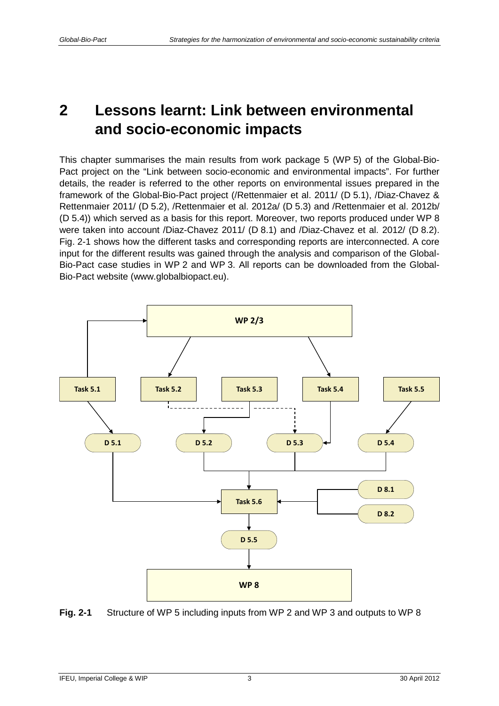## <span id="page-6-0"></span>**2 Lessons learnt: Link between environmental and socio-economic impacts**

This chapter summarises the main results from work package 5 (WP 5) of the Global-Bio-Pact project on the "Link between socio-economic and environmental impacts". For further details, the reader is referred to the other reports on environmental issues prepared in the framework of the Global-Bio-Pact project (/Rettenmaier et al. 2011/ (D 5.1), /Diaz-Chavez & Rettenmaier 2011/ (D 5.2), /Rettenmaier et al. 2012a/ (D 5.3) and /Rettenmaier et al. 2012b/ (D 5.4)) which served as a basis for this report. Moreover, two reports produced under WP 8 were taken into account /Diaz-Chavez 2011/ (D 8.1) and /Diaz-Chavez et al. 2012/ (D 8.2). [Fig.](#page-6-1) 2-1 shows how the different tasks and corresponding reports are interconnected. A core input for the different results was gained through the analysis and comparison of the Global-Bio-Pact case studies in WP 2 and WP 3. All reports can be downloaded from the Global-Bio-Pact website (www.globalbiopact.eu).



<span id="page-6-1"></span>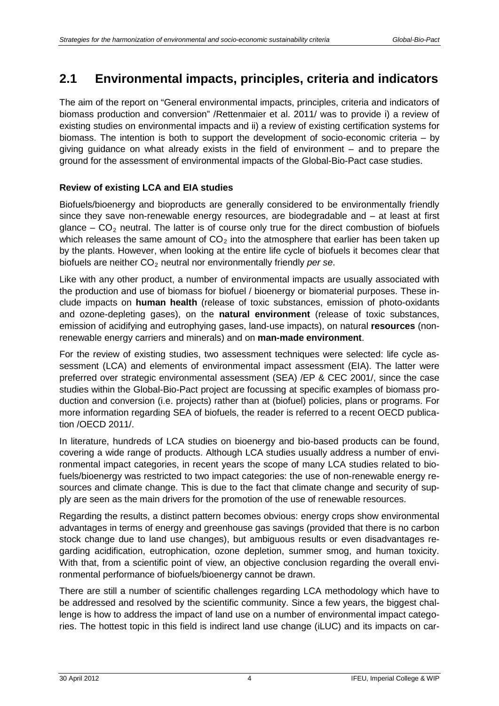## <span id="page-7-0"></span>**2.1 Environmental impacts, principles, criteria and indicators**

The aim of the report on "General environmental impacts, principles, criteria and indicators of biomass production and conversion" /Rettenmaier et al. 2011/ was to provide i) a review of existing studies on environmental impacts and ii) a review of existing certification systems for biomass. The intention is both to support the development of socio-economic criteria – by giving guidance on what already exists in the field of environment – and to prepare the ground for the assessment of environmental impacts of the Global-Bio-Pact case studies.

### **Review of existing LCA and EIA studies**

Biofuels/bioenergy and bioproducts are generally considered to be environmentally friendly since they save non-renewable energy resources, are biodegradable and – at least at first glance  $-$  CO<sub>2</sub> neutral. The latter is of course only true for the direct combustion of biofuels which releases the same amount of  $CO<sub>2</sub>$  into the atmosphere that earlier has been taken up by the plants. However, when looking at the entire life cycle of biofuels it becomes clear that biofuels are neither CO<sub>2</sub> neutral nor environmentally friendly *per se*.

Like with any other product, a number of environmental impacts are usually associated with the production and use of biomass for biofuel / bioenergy or biomaterial purposes. These include impacts on **human health** (release of toxic substances, emission of photo-oxidants and ozone-depleting gases), on the **natural environment** (release of toxic substances, emission of acidifying and eutrophying gases, land-use impacts), on natural **resources** (nonrenewable energy carriers and minerals) and on **man-made environment**.

For the review of existing studies, two assessment techniques were selected: life cycle assessment (LCA) and elements of environmental impact assessment (EIA). The latter were preferred over strategic environmental assessment (SEA) /EP & CEC 2001/, since the case studies within the Global-Bio-Pact project are focussing at specific examples of biomass production and conversion (i.e. projects) rather than at (biofuel) policies, plans or programs. For more information regarding SEA of biofuels, the reader is referred to a recent OECD publication /OECD 2011/.

In literature, hundreds of LCA studies on bioenergy and bio-based products can be found, covering a wide range of products. Although LCA studies usually address a number of environmental impact categories, in recent years the scope of many LCA studies related to biofuels/bioenergy was restricted to two impact categories: the use of non-renewable energy resources and climate change. This is due to the fact that climate change and security of supply are seen as the main drivers for the promotion of the use of renewable resources.

Regarding the results, a distinct pattern becomes obvious: energy crops show environmental advantages in terms of energy and greenhouse gas savings (provided that there is no carbon stock change due to land use changes), but ambiguous results or even disadvantages regarding acidification, eutrophication, ozone depletion, summer smog, and human toxicity. With that, from a scientific point of view, an objective conclusion regarding the overall environmental performance of biofuels/bioenergy cannot be drawn.

There are still a number of scientific challenges regarding LCA methodology which have to be addressed and resolved by the scientific community. Since a few years, the biggest challenge is how to address the impact of land use on a number of environmental impact categories. The hottest topic in this field is indirect land use change (iLUC) and its impacts on car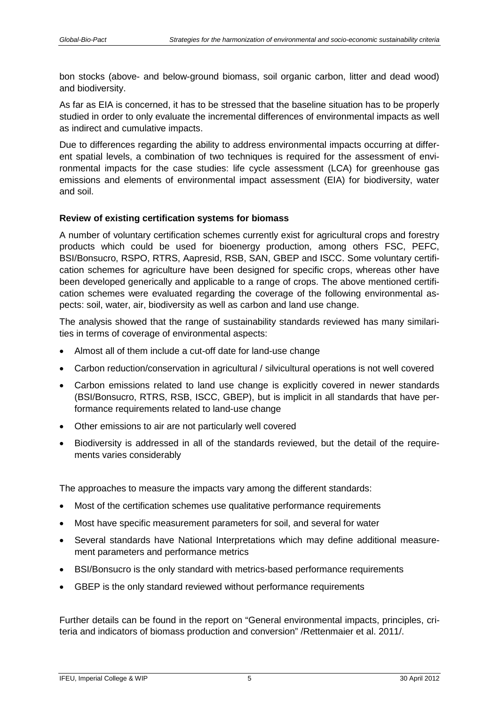bon stocks (above- and below-ground biomass, soil organic carbon, litter and dead wood) and biodiversity.

As far as EIA is concerned, it has to be stressed that the baseline situation has to be properly studied in order to only evaluate the incremental differences of environmental impacts as well as indirect and cumulative impacts.

Due to differences regarding the ability to address environmental impacts occurring at different spatial levels, a combination of two techniques is required for the assessment of environmental impacts for the case studies: life cycle assessment (LCA) for greenhouse gas emissions and elements of environmental impact assessment (EIA) for biodiversity, water and soil.

#### **Review of existing certification systems for biomass**

A number of voluntary certification schemes currently exist for agricultural crops and forestry products which could be used for bioenergy production, among others FSC, PEFC, BSI/Bonsucro, RSPO, RTRS, Aapresid, RSB, SAN, GBEP and ISCC. Some voluntary certification schemes for agriculture have been designed for specific crops, whereas other have been developed generically and applicable to a range of crops. The above mentioned certification schemes were evaluated regarding the coverage of the following environmental aspects: soil, water, air, biodiversity as well as carbon and land use change.

The analysis showed that the range of sustainability standards reviewed has many similarities in terms of coverage of environmental aspects:

- Almost all of them include a cut-off date for land-use change
- Carbon reduction/conservation in agricultural / silvicultural operations is not well covered
- Carbon emissions related to land use change is explicitly covered in newer standards (BSI/Bonsucro, RTRS, RSB, ISCC, GBEP), but is implicit in all standards that have performance requirements related to land-use change
- Other emissions to air are not particularly well covered
- Biodiversity is addressed in all of the standards reviewed, but the detail of the requirements varies considerably

The approaches to measure the impacts vary among the different standards:

- Most of the certification schemes use qualitative performance requirements
- Most have specific measurement parameters for soil, and several for water
- Several standards have National Interpretations which may define additional measurement parameters and performance metrics
- BSI/Bonsucro is the only standard with metrics-based performance requirements
- GBEP is the only standard reviewed without performance requirements

Further details can be found in the report on "General environmental impacts, principles, criteria and indicators of biomass production and conversion" /Rettenmaier et al. 2011/.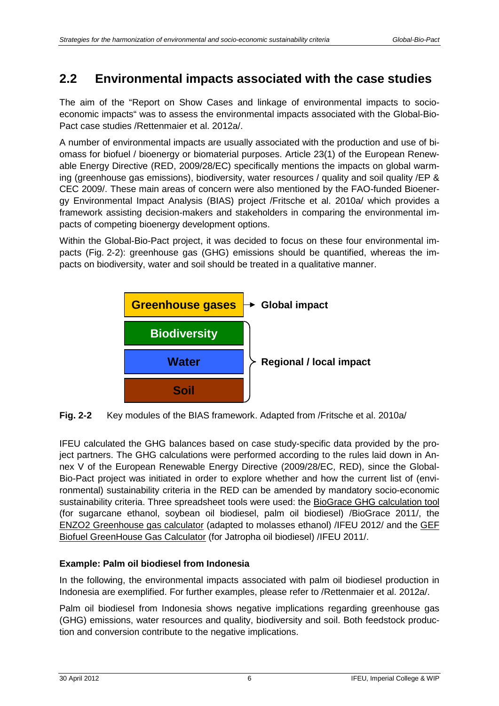## <span id="page-9-0"></span>**2.2 Environmental impacts associated with the case studies**

The aim of the "Report on Show Cases and linkage of environmental impacts to socioeconomic impacts" was to assess the environmental impacts associated with the Global-Bio-Pact case studies /Rettenmaier et al. 2012a/.

A number of environmental impacts are usually associated with the production and use of biomass for biofuel / bioenergy or biomaterial purposes. Article 23(1) of the European Renewable Energy Directive (RED, 2009/28/EC) specifically mentions the impacts on global warming (greenhouse gas emissions), biodiversity, water resources / quality and soil quality /EP & CEC 2009/. These main areas of concern were also mentioned by the FAO-funded Bioenergy Environmental Impact Analysis (BIAS) project /Fritsche et al. 2010a/ which provides a framework assisting decision-makers and stakeholders in comparing the environmental impacts of competing bioenergy development options.

Within the Global-Bio-Pact project, it was decided to focus on these four environmental impacts [\(Fig.](#page-9-1) 2-2): greenhouse gas (GHG) emissions should be quantified, whereas the impacts on biodiversity, water and soil should be treated in a qualitative manner.



<span id="page-9-1"></span>**Fig. 2-2** Key modules of the BIAS framework. Adapted from /Fritsche et al. 2010a/

IFEU calculated the GHG balances based on case study-specific data provided by the project partners. The GHG calculations were performed according to the rules laid down in Annex V of the European Renewable Energy Directive (2009/28/EC, RED), since the Global-Bio-Pact project was initiated in order to explore whether and how the current list of (environmental) sustainability criteria in the RED can be amended by mandatory socio-economic sustainability criteria. Three spreadsheet tools were used: the [BioGrace GHG calculation tool](http://www.biograce.net/content/ghgcalculationtools/calculationtool) (for sugarcane ethanol, soybean oil biodiesel, palm oil biodiesel) /BioGrace 2011/, the [ENZO2 Greenhouse gas calculator](http://www.ifeu.de/index.php?bereich=nac&seite=ENZO2) (adapted to molasses ethanol) /IFEU 2012/ and the [GEF](http://www.unep.org/bioenergy/Activities/TheGlobalEnvironmentFacilityGEFProject/tabid/79435/Default.aspx)  [Biofuel GreenHouse Gas Calculator](http://www.unep.org/bioenergy/Activities/TheGlobalEnvironmentFacilityGEFProject/tabid/79435/Default.aspx) (for Jatropha oil biodiesel) /IFEU 2011/.

### **Example: Palm oil biodiesel from Indonesia**

In the following, the environmental impacts associated with palm oil biodiesel production in Indonesia are exemplified. For further examples, please refer to /Rettenmaier et al. 2012a/.

Palm oil biodiesel from Indonesia shows negative implications regarding greenhouse gas (GHG) emissions, water resources and quality, biodiversity and soil. Both feedstock production and conversion contribute to the negative implications.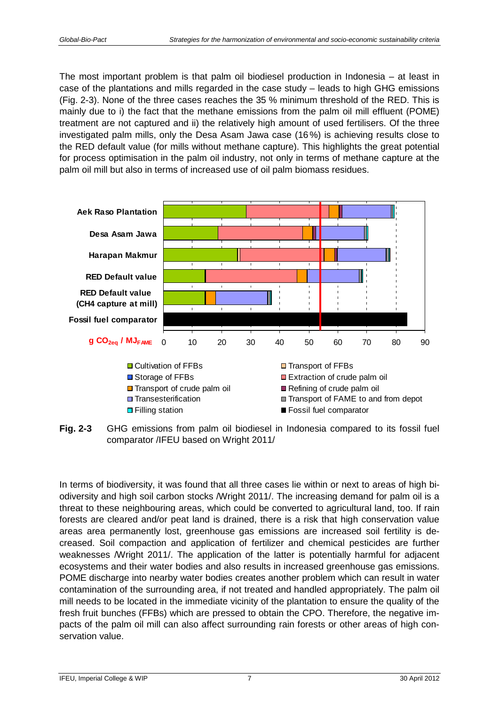The most important problem is that palm oil biodiesel production in Indonesia – at least in case of the plantations and mills regarded in the case study – leads to high GHG emissions [\(Fig.](#page-10-0) 2-3). None of the three cases reaches the 35 % minimum threshold of the RED. This is mainly due to i) the fact that the methane emissions from the palm oil mill effluent (POME) treatment are not captured and ii) the relatively high amount of used fertilisers. Of the three investigated palm mills, only the Desa Asam Jawa case (16%) is achieving results close to the RED default value (for mills without methane capture). This highlights the great potential for process optimisation in the palm oil industry, not only in terms of methane capture at the palm oil mill but also in terms of increased use of oil palm biomass residues.



<span id="page-10-0"></span>**Fig. 2-3** GHG emissions from palm oil biodiesel in Indonesia compared to its fossil fuel comparator /IFEU based on Wright 2011/

In terms of biodiversity, it was found that all three cases lie within or next to areas of high biodiversity and high soil carbon stocks /Wright 2011/. The increasing demand for palm oil is a threat to these neighbouring areas, which could be converted to agricultural land, too. If rain forests are cleared and/or peat land is drained, there is a risk that high conservation value areas area permanently lost, greenhouse gas emissions are increased soil fertility is decreased. Soil compaction and application of fertilizer and chemical pesticides are further weaknesses /Wright 2011/. The application of the latter is potentially harmful for adjacent ecosystems and their water bodies and also results in increased greenhouse gas emissions. POME discharge into nearby water bodies creates another problem which can result in water contamination of the surrounding area, if not treated and handled appropriately. The palm oil mill needs to be located in the immediate vicinity of the plantation to ensure the quality of the fresh fruit bunches (FFBs) which are pressed to obtain the CPO. Therefore, the negative impacts of the palm oil mill can also affect surrounding rain forests or other areas of high conservation value.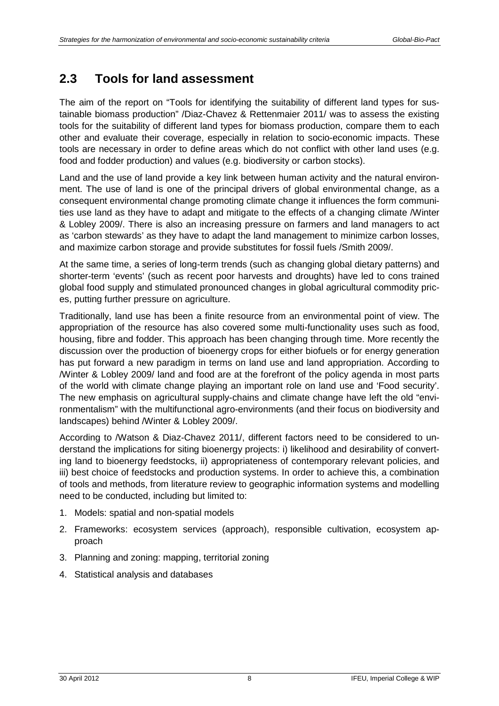## <span id="page-11-0"></span>**2.3 Tools for land assessment**

The aim of the report on "Tools for identifying the suitability of different land types for sustainable biomass production" /Diaz-Chavez & Rettenmaier 2011/ was to assess the existing tools for the suitability of different land types for biomass production, compare them to each other and evaluate their coverage, especially in relation to socio-economic impacts. These tools are necessary in order to define areas which do not conflict with other land uses (e.g. food and fodder production) and values (e.g. biodiversity or carbon stocks).

Land and the use of land provide a key link between human activity and the natural environment. The use of land is one of the principal drivers of global environmental change, as a consequent environmental change promoting climate change it influences the form communities use land as they have to adapt and mitigate to the effects of a changing climate /Winter & Lobley 2009/. There is also an increasing pressure on farmers and land managers to act as 'carbon stewards' as they have to adapt the land management to minimize carbon losses, and maximize carbon storage and provide substitutes for fossil fuels /Smith 2009/.

At the same time, a series of long-term trends (such as changing global dietary patterns) and shorter-term 'events' (such as recent poor harvests and droughts) have led to cons trained global food supply and stimulated pronounced changes in global agricultural commodity prices, putting further pressure on agriculture.

Traditionally, land use has been a finite resource from an environmental point of view. The appropriation of the resource has also covered some multi-functionality uses such as food, housing, fibre and fodder. This approach has been changing through time. More recently the discussion over the production of bioenergy crops for either biofuels or for energy generation has put forward a new paradigm in terms on land use and land appropriation. According to /Winter & Lobley 2009/ land and food are at the forefront of the policy agenda in most parts of the world with climate change playing an important role on land use and 'Food security'. The new emphasis on agricultural supply-chains and climate change have left the old "environmentalism" with the multifunctional agro-environments (and their focus on biodiversity and landscapes) behind /Winter & Lobley 2009/.

According to /Watson & Diaz-Chavez 2011/, different factors need to be considered to understand the implications for siting bioenergy projects: i) likelihood and desirability of converting land to bioenergy feedstocks, ii) appropriateness of contemporary relevant policies, and iii) best choice of feedstocks and production systems. In order to achieve this, a combination of tools and methods, from literature review to geographic information systems and modelling need to be conducted, including but limited to:

- 1. Models: spatial and non-spatial models
- 2. Frameworks: ecosystem services (approach), responsible cultivation, ecosystem approach
- 3. Planning and zoning: mapping, territorial zoning
- 4. Statistical analysis and databases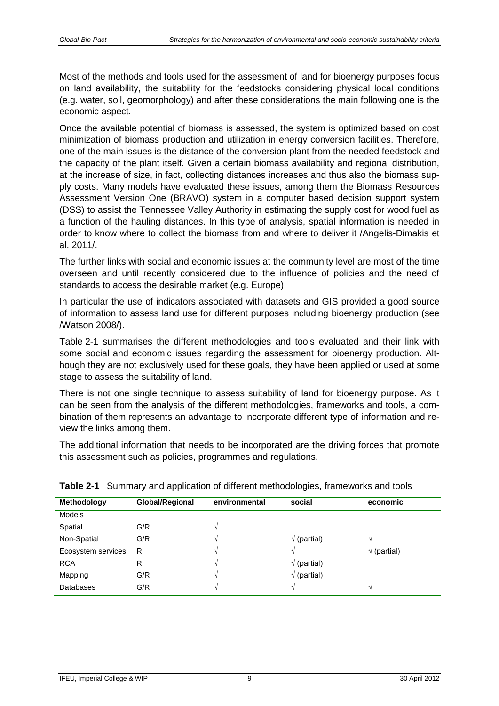Most of the methods and tools used for the assessment of land for bioenergy purposes focus on land availability, the suitability for the feedstocks considering physical local conditions (e.g. water, soil, geomorphology) and after these considerations the main following one is the economic aspect.

Once the available potential of biomass is assessed, the system is optimized based on cost minimization of biomass production and utilization in energy conversion facilities. Therefore, one of the main issues is the distance of the conversion plant from the needed feedstock and the capacity of the plant itself. Given a certain biomass availability and regional distribution, at the increase of size, in fact, collecting distances increases and thus also the biomass supply costs. Many models have evaluated these issues, among them the Biomass Resources Assessment Version One (BRAVO) system in a computer based decision support system (DSS) to assist the Tennessee Valley Authority in estimating the supply cost for wood fuel as a function of the hauling distances. In this type of analysis, spatial information is needed in order to know where to collect the biomass from and where to deliver it /Angelis-Dimakis et al. 2011/.

The further links with social and economic issues at the community level are most of the time overseen and until recently considered due to the influence of policies and the need of standards to access the desirable market (e.g. Europe).

In particular the use of indicators associated with datasets and GIS provided a good source of information to assess land use for different purposes including bioenergy production (see /Watson 2008/).

[Table](#page-12-0) 2-1 summarises the different methodologies and tools evaluated and their link with some social and economic issues regarding the assessment for bioenergy production. Although they are not exclusively used for these goals, they have been applied or used at some stage to assess the suitability of land.

There is not one single technique to assess suitability of land for bioenergy purpose. As it can be seen from the analysis of the different methodologies, frameworks and tools, a combination of them represents an advantage to incorporate different type of information and review the links among them.

The additional information that needs to be incorporated are the driving forces that promote this assessment such as policies, programmes and regulations.

|                    | -<br>. .        |               | ີ                   |                     |
|--------------------|-----------------|---------------|---------------------|---------------------|
| <b>Methodology</b> | Global/Regional | environmental | social              | economic            |
| <b>Models</b>      |                 |               |                     |                     |
| Spatial            | G/R             | N             |                     |                     |
| Non-Spatial        | G/R             |               | $\sqrt{}$ (partial) |                     |
| Ecosystem services | R               | $\sim$        |                     | $\sqrt{}$ (partial) |
| <b>RCA</b>         | R               |               | $\sqrt{}$ (partial) |                     |
| Mapping            | G/R             |               | $\sqrt{}$ (partial) |                     |
| <b>Databases</b>   | G/R             | $\sim$        | V                   | $\sim$              |

<span id="page-12-0"></span>

|  |  |  | <b>Table 2-1</b> Summary and application of different methodologies, frameworks and tools |  |
|--|--|--|-------------------------------------------------------------------------------------------|--|
|--|--|--|-------------------------------------------------------------------------------------------|--|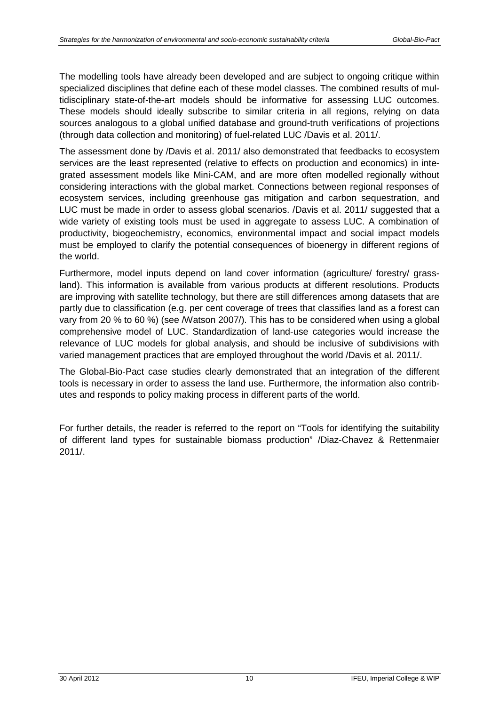The modelling tools have already been developed and are subject to ongoing critique within specialized disciplines that define each of these model classes. The combined results of multidisciplinary state-of-the-art models should be informative for assessing LUC outcomes. These models should ideally subscribe to similar criteria in all regions, relying on data sources analogous to a global unified database and ground-truth verifications of projections (through data collection and monitoring) of fuel-related LUC /Davis et al. 2011/.

The assessment done by /Davis et al. 2011/ also demonstrated that feedbacks to ecosystem services are the least represented (relative to effects on production and economics) in integrated assessment models like Mini-CAM, and are more often modelled regionally without considering interactions with the global market. Connections between regional responses of ecosystem services, including greenhouse gas mitigation and carbon sequestration, and LUC must be made in order to assess global scenarios. /Davis et al. 2011/ suggested that a wide variety of existing tools must be used in aggregate to assess LUC. A combination of productivity, biogeochemistry, economics, environmental impact and social impact models must be employed to clarify the potential consequences of bioenergy in different regions of the world.

Furthermore, model inputs depend on land cover information (agriculture/ forestry/ grassland). This information is available from various products at different resolutions. Products are improving with satellite technology, but there are still differences among datasets that are partly due to classification (e.g. per cent coverage of trees that classifies land as a forest can vary from 20 % to 60 %) (see /Watson 2007/). This has to be considered when using a global comprehensive model of LUC. Standardization of land-use categories would increase the relevance of LUC models for global analysis, and should be inclusive of subdivisions with varied management practices that are employed throughout the world /Davis et al. 2011/.

The Global-Bio-Pact case studies clearly demonstrated that an integration of the different tools is necessary in order to assess the land use. Furthermore, the information also contributes and responds to policy making process in different parts of the world.

For further details, the reader is referred to the report on "Tools for identifying the suitability of different land types for sustainable biomass production" /Diaz-Chavez & Rettenmaier 2011/.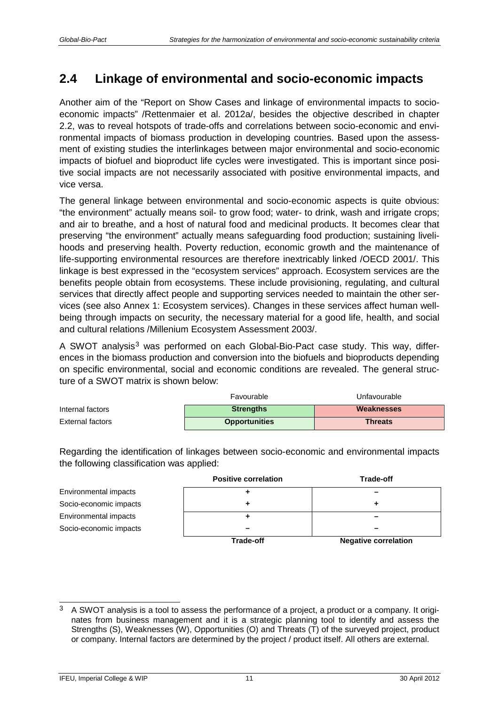## <span id="page-14-0"></span>**2.4 Linkage of environmental and socio-economic impacts**

Another aim of the "Report on Show Cases and linkage of environmental impacts to socioeconomic impacts" /Rettenmaier et al. 2012a/, besides the objective described in chapter [2.2,](#page-9-0) was to reveal hotspots of trade-offs and correlations between socio-economic and environmental impacts of biomass production in developing countries. Based upon the assessment of existing studies the interlinkages between major environmental and socio-economic impacts of biofuel and bioproduct life cycles were investigated. This is important since positive social impacts are not necessarily associated with positive environmental impacts, and vice versa.

The general linkage between environmental and socio-economic aspects is quite obvious: "the environment" actually means soil- to grow food; water- to drink, wash and irrigate crops; and air to breathe, and a host of natural food and medicinal products. It becomes clear that preserving "the environment" actually means safeguarding food production; sustaining livelihoods and preserving health. Poverty reduction, economic growth and the maintenance of life-supporting environmental resources are therefore inextricably linked /OECD 2001/. This linkage is best expressed in the "ecosystem services" approach. Ecosystem services are the benefits people obtain from ecosystems. These include provisioning, regulating, and cultural services that directly affect people and supporting services needed to maintain the other services (see also [Annex 1: Ecosystem services\)](#page-41-0). Changes in these services affect human wellbeing through impacts on security, the necessary material for a good life, health, and social and cultural relations /Millenium Ecosystem Assessment 2003/.

A SWOT analysis<sup>[3](#page-14-1)</sup> was performed on each Global-Bio-Pact case study. This way, differences in the biomass production and conversion into the biofuels and bioproducts depending on specific environmental, social and economic conditions are revealed. The general structure of a SWOT matrix is shown below:

|                  | Favourable           | Unfavourable   |
|------------------|----------------------|----------------|
| Internal factors | <b>Strengths</b>     | Weaknesses     |
| External factors | <b>Opportunities</b> | <b>Threats</b> |

Regarding the identification of linkages between socio-economic and environmental impacts the following classification was applied:

|                        | <b>Positive correlation</b> | <b>Trade-off</b>            |
|------------------------|-----------------------------|-----------------------------|
| Environmental impacts  |                             |                             |
| Socio-economic impacts |                             |                             |
| Environmental impacts  |                             |                             |
| Socio-economic impacts |                             |                             |
|                        | <b>Trade-off</b>            | <b>Negative correlation</b> |

<span id="page-14-1"></span> $\mathbf{R}$ <sup>3</sup> A SWOT analysis is a tool to assess the performance of a project, a product or a company. It originates from business management and it is a strategic planning tool to identify and assess the Strengths (S), Weaknesses (W), Opportunities (O) and Threats (T) of the surveyed project, product or company. Internal factors are determined by the project / product itself. All others are external.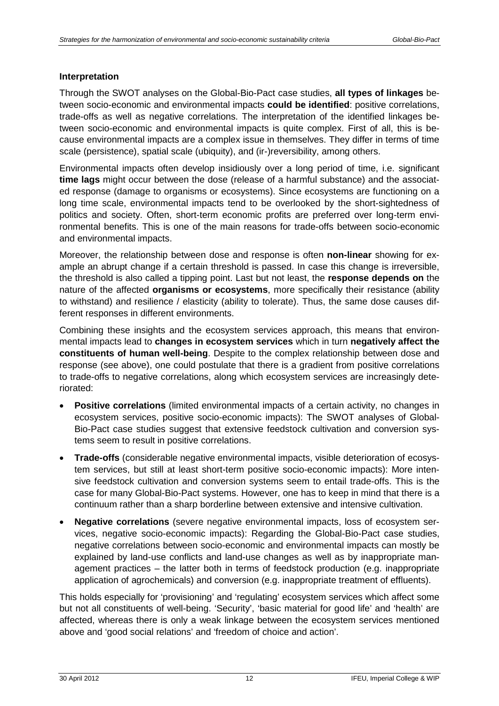#### **Interpretation**

Through the SWOT analyses on the Global-Bio-Pact case studies, **all types of linkages** between socio-economic and environmental impacts **could be identified**: positive correlations, trade-offs as well as negative correlations. The interpretation of the identified linkages between socio-economic and environmental impacts is quite complex. First of all, this is because environmental impacts are a complex issue in themselves. They differ in terms of time scale (persistence), spatial scale (ubiquity), and (ir-)reversibility, among others.

Environmental impacts often develop insidiously over a long period of time, i.e. significant **time lags** might occur between the dose (release of a harmful substance) and the associated response (damage to organisms or ecosystems). Since ecosystems are functioning on a long time scale, environmental impacts tend to be overlooked by the short-sightedness of politics and society. Often, short-term economic profits are preferred over long-term environmental benefits. This is one of the main reasons for trade-offs between socio-economic and environmental impacts.

Moreover, the relationship between dose and response is often **non-linear** showing for example an abrupt change if a certain threshold is passed. In case this change is irreversible, the threshold is also called a tipping point. Last but not least, the **response depends on** the nature of the affected **organisms or ecosystems**, more specifically their resistance (ability to withstand) and resilience / elasticity (ability to tolerate). Thus, the same dose causes different responses in different environments.

Combining these insights and the ecosystem services approach, this means that environmental impacts lead to **changes in ecosystem services** which in turn **negatively affect the constituents of human well-being**. Despite to the complex relationship between dose and response (see above), one could postulate that there is a gradient from positive correlations to trade-offs to negative correlations, along which ecosystem services are increasingly deteriorated:

- **Positive correlations** (limited environmental impacts of a certain activity, no changes in ecosystem services, positive socio-economic impacts): The SWOT analyses of Global-Bio-Pact case studies suggest that extensive feedstock cultivation and conversion systems seem to result in positive correlations.
- **Trade-offs** (considerable negative environmental impacts, visible deterioration of ecosystem services, but still at least short-term positive socio-economic impacts): More intensive feedstock cultivation and conversion systems seem to entail trade-offs. This is the case for many Global-Bio-Pact systems. However, one has to keep in mind that there is a continuum rather than a sharp borderline between extensive and intensive cultivation.
- **Negative correlations** (severe negative environmental impacts, loss of ecosystem services, negative socio-economic impacts): Regarding the Global-Bio-Pact case studies, negative correlations between socio-economic and environmental impacts can mostly be explained by land-use conflicts and land-use changes as well as by inappropriate management practices – the latter both in terms of feedstock production (e.g. inappropriate application of agrochemicals) and conversion (e.g. inappropriate treatment of effluents).

This holds especially for 'provisioning' and 'regulating' ecosystem services which affect some but not all constituents of well-being. 'Security', 'basic material for good life' and 'health' are affected, whereas there is only a weak linkage between the ecosystem services mentioned above and 'good social relations' and 'freedom of choice and action'.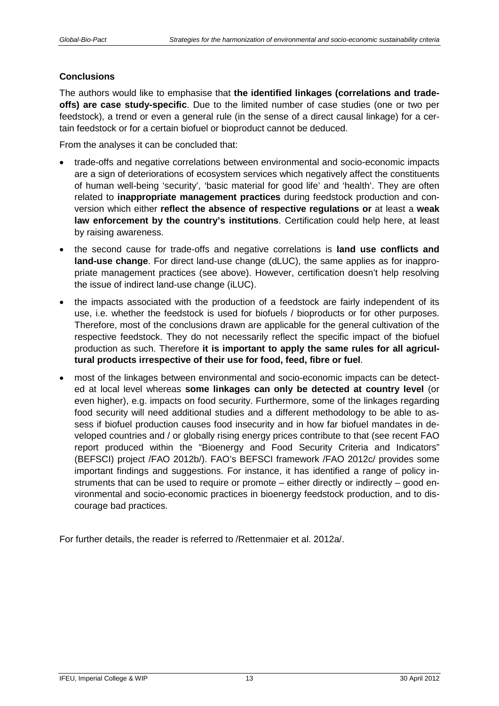#### **Conclusions**

The authors would like to emphasise that **the identified linkages (correlations and tradeoffs) are case study-specific**. Due to the limited number of case studies (one or two per feedstock), a trend or even a general rule (in the sense of a direct causal linkage) for a certain feedstock or for a certain biofuel or bioproduct cannot be deduced.

From the analyses it can be concluded that:

- trade-offs and negative correlations between environmental and socio-economic impacts are a sign of deteriorations of ecosystem services which negatively affect the constituents of human well-being 'security', 'basic material for good life' and 'health'. They are often related to **inappropriate management practices** during feedstock production and conversion which either **reflect the absence of respective regulations or** at least a **weak law enforcement by the country's institutions**. Certification could help here, at least by raising awareness.
- the second cause for trade-offs and negative correlations is **land use conflicts and land-use change**. For direct land-use change (dLUC), the same applies as for inappropriate management practices (see above). However, certification doesn't help resolving the issue of indirect land-use change (iLUC).
- the impacts associated with the production of a feedstock are fairly independent of its use, i.e. whether the feedstock is used for biofuels / bioproducts or for other purposes. Therefore, most of the conclusions drawn are applicable for the general cultivation of the respective feedstock. They do not necessarily reflect the specific impact of the biofuel production as such. Therefore **it is important to apply the same rules for all agricultural products irrespective of their use for food, feed, fibre or fuel**.
- most of the linkages between environmental and socio-economic impacts can be detected at local level whereas **some linkages can only be detected at country level** (or even higher), e.g. impacts on food security. Furthermore, some of the linkages regarding food security will need additional studies and a different methodology to be able to assess if biofuel production causes food insecurity and in how far biofuel mandates in developed countries and / or globally rising energy prices contribute to that (see recent FAO report produced within the "Bioenergy and Food Security Criteria and Indicators" (BEFSCI) project /FAO 2012b/). FAO's BEFSCI framework /FAO 2012c/ provides some important findings and suggestions. For instance, it has identified a range of policy instruments that can be used to require or promote – either directly or indirectly – good environmental and socio-economic practices in bioenergy feedstock production, and to discourage bad practices.

For further details, the reader is referred to /Rettenmaier et al. 2012a/.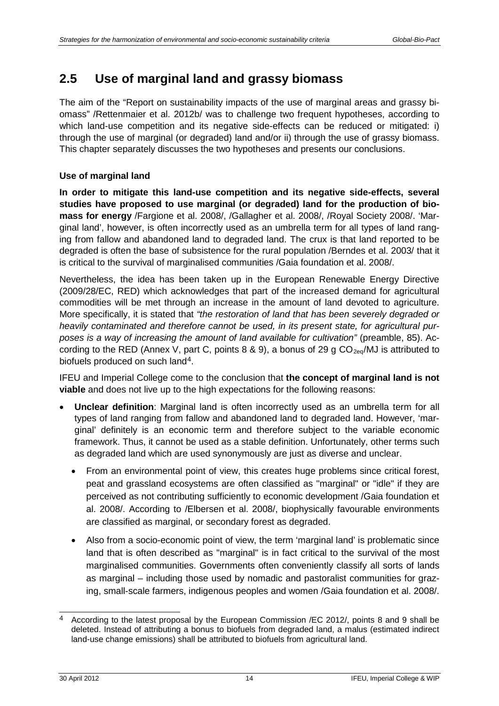## <span id="page-17-0"></span>**2.5 Use of marginal land and grassy biomass**

The aim of the "Report on sustainability impacts of the use of marginal areas and grassy biomass" /Rettenmaier et al. 2012b/ was to challenge two frequent hypotheses, according to which land-use competition and its negative side-effects can be reduced or mitigated: i) through the use of marginal (or degraded) land and/or ii) through the use of grassy biomass. This chapter separately discusses the two hypotheses and presents our conclusions.

### **Use of marginal land**

**In order to mitigate this land-use competition and its negative side-effects, several studies have proposed to use marginal (or degraded) land for the production of biomass for energy** /Fargione et al. 2008/, /Gallagher et al. 2008/, /Royal Society 2008/. 'Marginal land', however, is often incorrectly used as an umbrella term for all types of land ranging from fallow and abandoned land to degraded land. The crux is that land reported to be degraded is often the base of subsistence for the rural population /Berndes et al. 2003/ that it is critical to the survival of marginalised communities /Gaia foundation et al. 2008/.

Nevertheless, the idea has been taken up in the European Renewable Energy Directive (2009/28/EC, RED) which acknowledges that part of the increased demand for agricultural commodities will be met through an increase in the amount of land devoted to agriculture. More specifically, it is stated that *"the restoration of land that has been severely degraded or heavily contaminated and therefore cannot be used, in its present state, for agricultural purposes is a way of increasing the amount of land available for cultivation"* (preamble, 85). According to the RED (Annex V, part C, points 8 & 9), a bonus of 29 g  $CO_{2eq}/MJ$  is attributed to biofuels produced on such land[4](#page-17-1).

IFEU and Imperial College come to the conclusion that **the concept of marginal land is not viable** and does not live up to the high expectations for the following reasons:

- **Unclear definition**: Marginal land is often incorrectly used as an umbrella term for all types of land ranging from fallow and abandoned land to degraded land. However, 'marginal' definitely is an economic term and therefore subject to the variable economic framework. Thus, it cannot be used as a stable definition. Unfortunately, other terms such as degraded land which are used synonymously are just as diverse and unclear.
	- From an environmental point of view, this creates huge problems since critical forest, peat and grassland ecosystems are often classified as "marginal" or "idle" if they are perceived as not contributing sufficiently to economic development /Gaia foundation et al. 2008/. According to /Elbersen et al. 2008/, biophysically favourable environments are classified as marginal, or secondary forest as degraded.
	- Also from a socio-economic point of view, the term 'marginal land' is problematic since land that is often described as "marginal" is in fact critical to the survival of the most marginalised communities. Governments often conveniently classify all sorts of lands as marginal – including those used by nomadic and pastoralist communities for grazing, small-scale farmers, indigenous peoples and women /Gaia foundation et al. 2008/.

<span id="page-17-1"></span><sup>-</sup><sup>4</sup> According to the latest proposal by the European Commission /EC 2012/, points 8 and 9 shall be deleted. Instead of attributing a bonus to biofuels from degraded land, a malus (estimated indirect land-use change emissions) shall be attributed to biofuels from agricultural land.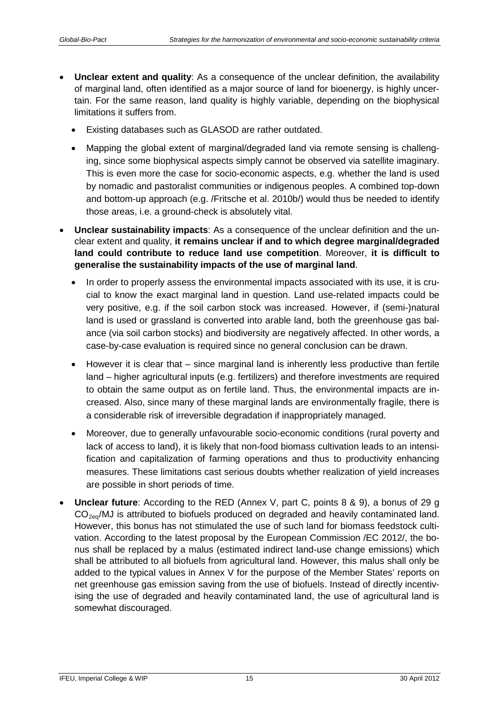- **Unclear extent and quality**: As a consequence of the unclear definition, the availability of marginal land, often identified as a major source of land for bioenergy, is highly uncertain. For the same reason, land quality is highly variable, depending on the biophysical limitations it suffers from.
	- Existing databases such as GLASOD are rather outdated.
	- Mapping the global extent of marginal/degraded land via remote sensing is challenging, since some biophysical aspects simply cannot be observed via satellite imaginary. This is even more the case for socio-economic aspects, e.g. whether the land is used by nomadic and pastoralist communities or indigenous peoples. A combined top-down and bottom-up approach (e.g. /Fritsche et al. 2010b/) would thus be needed to identify those areas, i.e. a ground-check is absolutely vital.
- **Unclear sustainability impacts**: As a consequence of the unclear definition and the unclear extent and quality, **it remains unclear if and to which degree marginal/degraded land could contribute to reduce land use competition**. Moreover, **it is difficult to generalise the sustainability impacts of the use of marginal land**.
	- In order to properly assess the environmental impacts associated with its use, it is crucial to know the exact marginal land in question. Land use-related impacts could be very positive, e.g. if the soil carbon stock was increased. However, if (semi-)natural land is used or grassland is converted into arable land, both the greenhouse gas balance (via soil carbon stocks) and biodiversity are negatively affected. In other words, a case-by-case evaluation is required since no general conclusion can be drawn.
	- However it is clear that since marginal land is inherently less productive than fertile land – higher agricultural inputs (e.g. fertilizers) and therefore investments are required to obtain the same output as on fertile land. Thus, the environmental impacts are increased. Also, since many of these marginal lands are environmentally fragile, there is a considerable risk of irreversible degradation if inappropriately managed.
	- Moreover, due to generally unfavourable socio-economic conditions (rural poverty and lack of access to land), it is likely that non-food biomass cultivation leads to an intensification and capitalization of farming operations and thus to productivity enhancing measures. These limitations cast serious doubts whether realization of yield increases are possible in short periods of time.
- **Unclear future**: According to the RED (Annex V, part C, points 8 & 9), a bonus of 29 g  $CO<sub>2eq</sub>/MJ$  is attributed to biofuels produced on degraded and heavily contaminated land. However, this bonus has not stimulated the use of such land for biomass feedstock cultivation. According to the latest proposal by the European Commission /EC 2012/, the bonus shall be replaced by a malus (estimated indirect land-use change emissions) which shall be attributed to all biofuels from agricultural land. However, this malus shall only be added to the typical values in Annex V for the purpose of the Member States' reports on net greenhouse gas emission saving from the use of biofuels. Instead of directly incentivising the use of degraded and heavily contaminated land, the use of agricultural land is somewhat discouraged.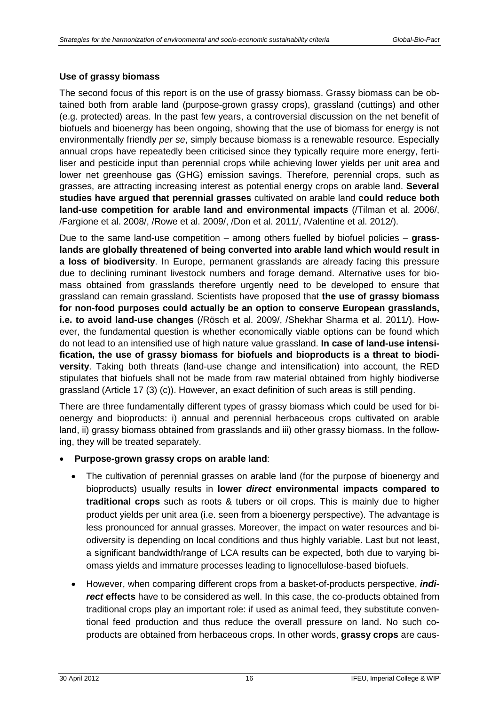### **Use of grassy biomass**

The second focus of this report is on the use of grassy biomass. Grassy biomass can be obtained both from arable land (purpose-grown grassy crops), grassland (cuttings) and other (e.g. protected) areas. In the past few years, a controversial discussion on the net benefit of biofuels and bioenergy has been ongoing, showing that the use of biomass for energy is not environmentally friendly *per se*, simply because biomass is a renewable resource. Especially annual crops have repeatedly been criticised since they typically require more energy, fertiliser and pesticide input than perennial crops while achieving lower yields per unit area and lower net greenhouse gas (GHG) emission savings. Therefore, perennial crops, such as grasses, are attracting increasing interest as potential energy crops on arable land. **Several studies have argued that perennial grasses** cultivated on arable land **could reduce both land-use competition for arable land and environmental impacts** (/Tilman et al. 2006/, /Fargione et al. 2008/, /Rowe et al. 2009/, /Don et al. 2011/, /Valentine et al. 2012/).

Due to the same land-use competition – among others fuelled by biofuel policies – **grasslands are globally threatened of being converted into arable land which would result in a loss of biodiversity**. In Europe, permanent grasslands are already facing this pressure due to declining ruminant livestock numbers and forage demand. Alternative uses for biomass obtained from grasslands therefore urgently need to be developed to ensure that grassland can remain grassland. Scientists have proposed that **the use of grassy biomass for non-food purposes could actually be an option to conserve European grasslands, i.e. to avoid land-use changes** (/Rösch et al. 2009/, /Shekhar Sharma et al. 2011/). However, the fundamental question is whether economically viable options can be found which do not lead to an intensified use of high nature value grassland. **In case of land-use intensification, the use of grassy biomass for biofuels and bioproducts is a threat to biodiversity**. Taking both threats (land-use change and intensification) into account, the RED stipulates that biofuels shall not be made from raw material obtained from highly biodiverse grassland (Article 17 (3) (c)). However, an exact definition of such areas is still pending.

There are three fundamentally different types of grassy biomass which could be used for bioenergy and bioproducts: i) annual and perennial herbaceous crops cultivated on arable land, ii) grassy biomass obtained from grasslands and iii) other grassy biomass. In the following, they will be treated separately.

#### • **Purpose-grown grassy crops on arable land**:

- The cultivation of perennial grasses on arable land (for the purpose of bioenergy and bioproducts) usually results in **lower** *direct* **environmental impacts compared to traditional crops** such as roots & tubers or oil crops. This is mainly due to higher product yields per unit area (i.e. seen from a bioenergy perspective). The advantage is less pronounced for annual grasses. Moreover, the impact on water resources and biodiversity is depending on local conditions and thus highly variable. Last but not least, a significant bandwidth/range of LCA results can be expected, both due to varying biomass yields and immature processes leading to lignocellulose-based biofuels.
- However, when comparing different crops from a basket-of-products perspective, *indi***rect effects** have to be considered as well. In this case, the co-products obtained from traditional crops play an important role: if used as animal feed, they substitute conventional feed production and thus reduce the overall pressure on land. No such coproducts are obtained from herbaceous crops. In other words, **grassy crops** are caus-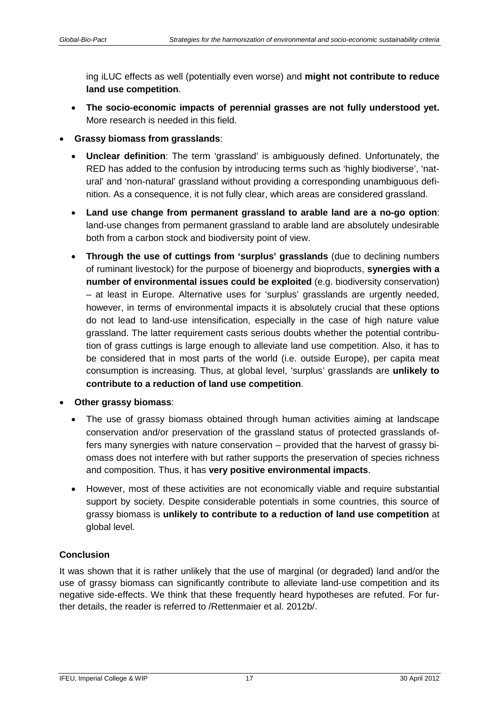ing iLUC effects as well (potentially even worse) and **might not contribute to reduce land use competition**.

- **The socio-economic impacts of perennial grasses are not fully understood yet.** More research is needed in this field.
- **Grassy biomass from grasslands**:
	- **Unclear definition**: The term 'grassland' is ambiguously defined. Unfortunately, the RED has added to the confusion by introducing terms such as 'highly biodiverse', 'natural' and 'non-natural' grassland without providing a corresponding unambiguous definition. As a consequence, it is not fully clear, which areas are considered grassland.
	- **Land use change from permanent grassland to arable land are a no-go option**: land-use changes from permanent grassland to arable land are absolutely undesirable both from a carbon stock and biodiversity point of view.
	- **Through the use of cuttings from 'surplus' grasslands** (due to declining numbers of ruminant livestock) for the purpose of bioenergy and bioproducts, **synergies with a number of environmental issues could be exploited** (e.g. biodiversity conservation) – at least in Europe. Alternative uses for 'surplus' grasslands are urgently needed, however, in terms of environmental impacts it is absolutely crucial that these options do not lead to land-use intensification, especially in the case of high nature value grassland. The latter requirement casts serious doubts whether the potential contribution of grass cuttings is large enough to alleviate land use competition. Also, it has to be considered that in most parts of the world (i.e. outside Europe), per capita meat consumption is increasing. Thus, at global level, 'surplus' grasslands are **unlikely to contribute to a reduction of land use competition**.
- **Other grassy biomass**:
	- The use of grassy biomass obtained through human activities aiming at landscape conservation and/or preservation of the grassland status of protected grasslands offers many synergies with nature conservation – provided that the harvest of grassy biomass does not interfere with but rather supports the preservation of species richness and composition. Thus, it has **very positive environmental impacts**.
	- However, most of these activities are not economically viable and require substantial support by society. Despite considerable potentials in some countries, this source of grassy biomass is **unlikely to contribute to a reduction of land use competition** at global level.

### **Conclusion**

It was shown that it is rather unlikely that the use of marginal (or degraded) land and/or the use of grassy biomass can significantly contribute to alleviate land-use competition and its negative side-effects. We think that these frequently heard hypotheses are refuted. For further details, the reader is referred to /Rettenmaier et al. 2012b/.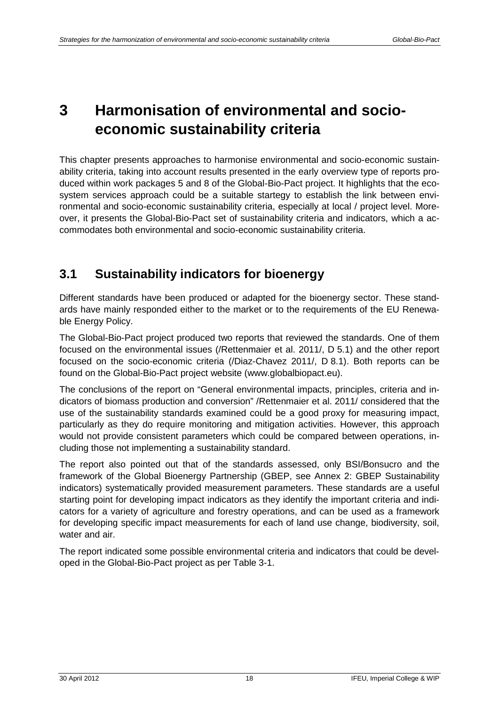## <span id="page-21-0"></span>**3 Harmonisation of environmental and socioeconomic sustainability criteria**

This chapter presents approaches to harmonise environmental and socio-economic sustainability criteria, taking into account results presented in the early overview type of reports produced within work packages 5 and 8 of the Global-Bio-Pact project. It highlights that the ecosystem services approach could be a suitable startegy to establish the link between environmental and socio-economic sustainability criteria, especially at local / project level. Moreover, it presents the Global-Bio-Pact set of sustainability criteria and indicators, which a accommodates both environmental and socio-economic sustainability criteria.

## <span id="page-21-1"></span>**3.1 Sustainability indicators for bioenergy**

Different standards have been produced or adapted for the bioenergy sector. These standards have mainly responded either to the market or to the requirements of the EU Renewable Energy Policy.

The Global-Bio-Pact project produced two reports that reviewed the standards. One of them focused on the environmental issues (/Rettenmaier et al. 2011/, D 5.1) and the other report focused on the socio-economic criteria (/Diaz-Chavez 2011/, D 8.1). Both reports can be found on the Global-Bio-Pact project website (www.globalbiopact.eu).

The conclusions of the report on "General environmental impacts, principles, criteria and indicators of biomass production and conversion" /Rettenmaier et al. 2011/ considered that the use of the sustainability standards examined could be a good proxy for measuring impact, particularly as they do require monitoring and mitigation activities. However, this approach would not provide consistent parameters which could be compared between operations, including those not implementing a sustainability standard.

The report also pointed out that of the standards assessed, only BSI/Bonsucro and the framework of the Global Bioenergy Partnership (GBEP, see [Annex 2: GBEP Sustainability](#page-42-0)  [indicators\)](#page-42-0) systematically provided measurement parameters. These standards are a useful starting point for developing impact indicators as they identify the important criteria and indicators for a variety of agriculture and forestry operations, and can be used as a framework for developing specific impact measurements for each of land use change, biodiversity, soil, water and air.

The report indicated some possible environmental criteria and indicators that could be developed in the Global-Bio-Pact project as per [Table](#page-22-0) 3-1.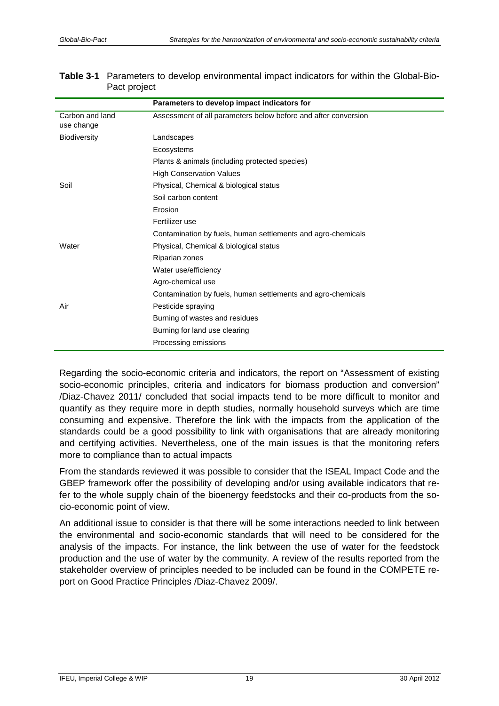|                               | Parameters to develop impact indicators for                    |
|-------------------------------|----------------------------------------------------------------|
| Carbon and land<br>use change | Assessment of all parameters below before and after conversion |
| <b>Biodiversity</b>           | Landscapes                                                     |
|                               | Ecosystems                                                     |
|                               | Plants & animals (including protected species)                 |
|                               | <b>High Conservation Values</b>                                |
| Soil                          | Physical, Chemical & biological status                         |
|                               | Soil carbon content                                            |
|                               | Erosion                                                        |
|                               | Fertilizer use                                                 |
|                               | Contamination by fuels, human settlements and agro-chemicals   |
| Water                         | Physical, Chemical & biological status                         |
|                               | Riparian zones                                                 |
|                               | Water use/efficiency                                           |
|                               | Agro-chemical use                                              |
|                               | Contamination by fuels, human settlements and agro-chemicals   |
| Air                           | Pesticide spraying                                             |
|                               | Burning of wastes and residues                                 |
|                               | Burning for land use clearing                                  |
|                               | Processing emissions                                           |

<span id="page-22-0"></span>

| <b>Table 3-1</b> Parameters to develop environmental impact indicators for within the Global-Bio- |  |
|---------------------------------------------------------------------------------------------------|--|
| Pact project                                                                                      |  |

Regarding the socio-economic criteria and indicators, the report on "Assessment of existing socio-economic principles, criteria and indicators for biomass production and conversion" /Diaz-Chavez 2011/ concluded that social impacts tend to be more difficult to monitor and quantify as they require more in depth studies, normally household surveys which are time consuming and expensive. Therefore the link with the impacts from the application of the standards could be a good possibility to link with organisations that are already monitoring and certifying activities. Nevertheless, one of the main issues is that the monitoring refers more to compliance than to actual impacts

From the standards reviewed it was possible to consider that the ISEAL Impact Code and the GBEP framework offer the possibility of developing and/or using available indicators that refer to the whole supply chain of the bioenergy feedstocks and their co-products from the socio-economic point of view.

An additional issue to consider is that there will be some interactions needed to link between the environmental and socio-economic standards that will need to be considered for the analysis of the impacts. For instance, the link between the use of water for the feedstock production and the use of water by the community. A review of the results reported from the stakeholder overview of principles needed to be included can be found in the COMPETE report on Good Practice Principles /Diaz-Chavez 2009/.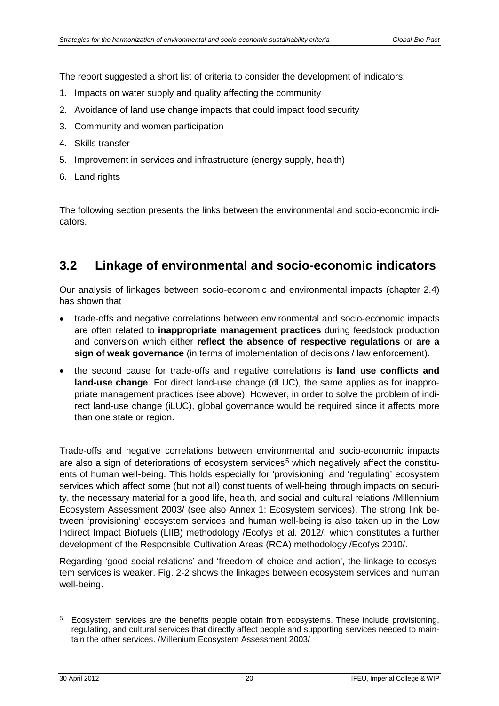The report suggested a short list of criteria to consider the development of indicators:

- 1. Impacts on water supply and quality affecting the community
- 2. Avoidance of land use change impacts that could impact food security
- 3. Community and women participation
- 4. Skills transfer
- 5. Improvement in services and infrastructure (energy supply, health)
- 6. Land rights

The following section presents the links between the environmental and socio-economic indicators.

### <span id="page-23-0"></span>**3.2 Linkage of environmental and socio-economic indicators**

Our analysis of linkages between socio-economic and environmental impacts (chapter [2.4\)](#page-14-0) has shown that

- trade-offs and negative correlations between environmental and socio-economic impacts are often related to **inappropriate management practices** during feedstock production and conversion which either **reflect the absence of respective regulations** or **are a sign of weak governance** (in terms of implementation of decisions / law enforcement).
- the second cause for trade-offs and negative correlations is **land use conflicts and land-use change**. For direct land-use change (dLUC), the same applies as for inappropriate management practices (see above). However, in order to solve the problem of indirect land-use change (iLUC), global governance would be required since it affects more than one state or region.

Trade-offs and negative correlations between environmental and socio-economic impacts are also a sign of deteriorations of ecosystem services<sup>[5](#page-23-1)</sup> which negatively affect the constituents of human well-being. This holds especially for 'provisioning' and 'regulating' ecosystem services which affect some (but not all) constituents of well-being through impacts on security, the necessary material for a good life, health, and social and cultural relations /Millennium Ecosystem Assessment 2003/ (see also [Annex 1: Ecosystem services\)](#page-41-0). The strong link between 'provisioning' ecosystem services and human well-being is also taken up in the Low Indirect Impact Biofuels (LIIB) methodology /Ecofys et al. 2012/, which constitutes a further development of the Responsible Cultivation Areas (RCA) methodology /Ecofys 2010/.

Regarding 'good social relations' and 'freedom of choice and action', the linkage to ecosystem services is weaker. [Fig.](#page-9-1) 2-2 shows the linkages between ecosystem services and human well-being.

-

<span id="page-23-1"></span><sup>5</sup> Ecosystem services are the benefits people obtain from ecosystems. These include provisioning, regulating, and cultural services that directly affect people and supporting services needed to maintain the other services. /Millenium Ecosystem Assessment 2003/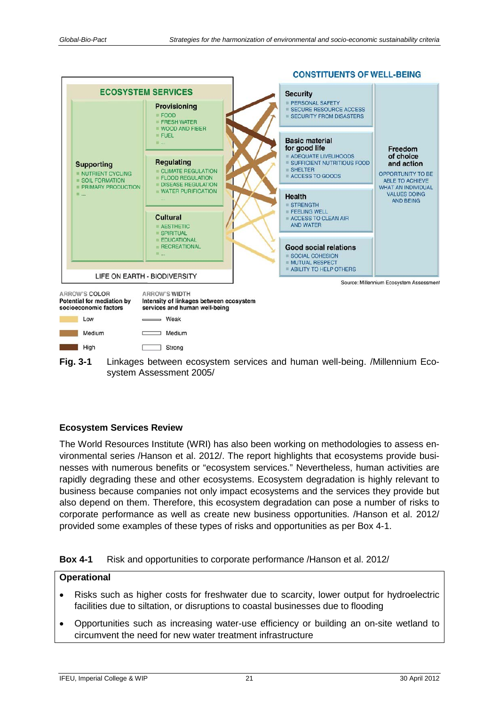



#### **Ecosystem Services Review**

The World Resources Institute (WRI) has also been working on methodologies to assess environmental series /Hanson et al. 2012/. The report highlights that ecosystems provide businesses with numerous benefits or "ecosystem services." Nevertheless, human activities are rapidly degrading these and other ecosystems. Ecosystem degradation is highly relevant to business because companies not only impact ecosystems and the services they provide but also depend on them. Therefore, this ecosystem degradation can pose a number of risks to corporate performance as well as create new business opportunities. /Hanson et al. 2012/ provided some examples of these types of risks and opportunities as per Box 4-1.

### • Risks such as higher costs for freshwater due to scarcity, lower output for hydroelectric facilities due to siltation, or disruptions to coastal businesses due to flooding

• Opportunities such as increasing water-use efficiency or building an on-site wetland to circumvent the need for new water treatment infrastructure

**Operational**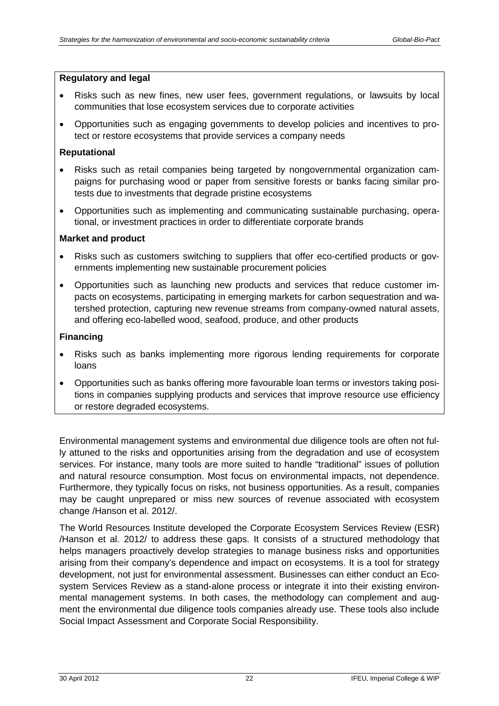#### **Regulatory and legal**

- Risks such as new fines, new user fees, government regulations, or lawsuits by local communities that lose ecosystem services due to corporate activities
- Opportunities such as engaging governments to develop policies and incentives to protect or restore ecosystems that provide services a company needs

#### **Reputational**

- Risks such as retail companies being targeted by nongovernmental organization campaigns for purchasing wood or paper from sensitive forests or banks facing similar protests due to investments that degrade pristine ecosystems
- Opportunities such as implementing and communicating sustainable purchasing, operational, or investment practices in order to differentiate corporate brands

#### **Market and product**

- Risks such as customers switching to suppliers that offer eco-certified products or governments implementing new sustainable procurement policies
- Opportunities such as launching new products and services that reduce customer impacts on ecosystems, participating in emerging markets for carbon sequestration and watershed protection, capturing new revenue streams from company-owned natural assets, and offering eco-labelled wood, seafood, produce, and other products

#### **Financing**

- Risks such as banks implementing more rigorous lending requirements for corporate loans
- Opportunities such as banks offering more favourable loan terms or investors taking positions in companies supplying products and services that improve resource use efficiency or restore degraded ecosystems.

Environmental management systems and environmental due diligence tools are often not fully attuned to the risks and opportunities arising from the degradation and use of ecosystem services. For instance, many tools are more suited to handle "traditional" issues of pollution and natural resource consumption. Most focus on environmental impacts, not dependence. Furthermore, they typically focus on risks, not business opportunities. As a result, companies may be caught unprepared or miss new sources of revenue associated with ecosystem change /Hanson et al. 2012/.

The World Resources Institute developed the Corporate Ecosystem Services Review (ESR) /Hanson et al. 2012/ to address these gaps. It consists of a structured methodology that helps managers proactively develop strategies to manage business risks and opportunities arising from their company's dependence and impact on ecosystems. It is a tool for strategy development, not just for environmental assessment. Businesses can either conduct an Ecosystem Services Review as a stand-alone process or integrate it into their existing environmental management systems. In both cases, the methodology can complement and augment the environmental due diligence tools companies already use. These tools also include Social Impact Assessment and Corporate Social Responsibility.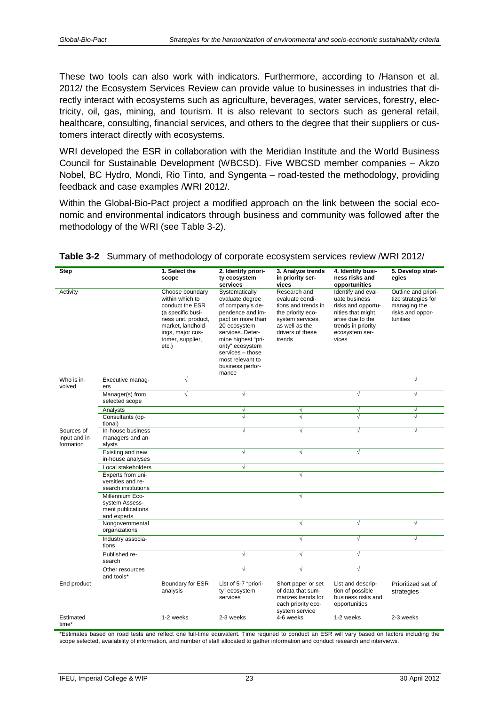These two tools can also work with indicators. Furthermore, according to /Hanson et al. 2012/ the Ecosystem Services Review can provide value to businesses in industries that directly interact with ecosystems such as agriculture, beverages, water services, forestry, electricity, oil, gas, mining, and tourism. It is also relevant to sectors such as general retail, healthcare, consulting, financial services, and others to the degree that their suppliers or customers interact directly with ecosystems.

WRI developed the ESR in collaboration with the Meridian Institute and the World Business Council for Sustainable Development (WBCSD). Five WBCSD member companies – Akzo Nobel, BC Hydro, Mondi, Rio Tinto, and Syngenta – road-tested the methodology, providing feedback and case examples /WRI 2012/.

Within the Global-Bio-Pact project a modified approach on the link between the social economic and environmental indicators through business and community was followed after the methodology of the WRI (see [Table](#page-26-0) 3-2).

| <b>Step</b>                              |                                                                       | 1. Select the<br>scope                                                                                                                                                     | 2. Identify priori-<br>ty ecosystem<br>services                                                                                                                                                                                                   | 3. Analyze trends<br>in priority ser-<br>vices                                                                                                  | 4. Identify busi-<br>ness risks and<br>opportunities                                                                                                | 5. Develop strat-<br>egies                                                                 |
|------------------------------------------|-----------------------------------------------------------------------|----------------------------------------------------------------------------------------------------------------------------------------------------------------------------|---------------------------------------------------------------------------------------------------------------------------------------------------------------------------------------------------------------------------------------------------|-------------------------------------------------------------------------------------------------------------------------------------------------|-----------------------------------------------------------------------------------------------------------------------------------------------------|--------------------------------------------------------------------------------------------|
| Activity                                 |                                                                       | Choose boundary<br>within which to<br>conduct the ESR<br>(a specific busi-<br>ness unit, product,<br>market, landhold-<br>ings, major cus-<br>tomer, supplier,<br>$etc.$ ) | Systematically<br>evaluate degree<br>of company's de-<br>pendence and im-<br>pact on more than<br>20 ecosystem<br>services. Deter-<br>mine highest "pri-<br>ority" ecosystem<br>services - those<br>most relevant to<br>business perfor-<br>mance | Research and<br>evaluate condi-<br>tions and trends in<br>the priority eco-<br>system services,<br>as well as the<br>drivers of these<br>trends | Identify and eval-<br>uate business<br>risks and opportu-<br>nities that might<br>arise due to the<br>trends in priority<br>ecosystem ser-<br>vices | Outline and priori-<br>tize strategies for<br>managing the<br>risks and oppor-<br>tunities |
| Who is in-<br>volved                     | Executive manag-<br>ers                                               | $\sqrt{}$                                                                                                                                                                  |                                                                                                                                                                                                                                                   |                                                                                                                                                 |                                                                                                                                                     | $\sqrt{}$                                                                                  |
|                                          | Manager(s) from<br>selected scope                                     | $\sqrt{}$                                                                                                                                                                  | $\sqrt{ }$                                                                                                                                                                                                                                        |                                                                                                                                                 | $\sqrt{}$                                                                                                                                           | $\overline{\sqrt{2}}$                                                                      |
|                                          | Analysts                                                              |                                                                                                                                                                            | V                                                                                                                                                                                                                                                 | ٦                                                                                                                                               | V                                                                                                                                                   | V                                                                                          |
|                                          | Consultants (op-<br>tional)                                           |                                                                                                                                                                            | J                                                                                                                                                                                                                                                 |                                                                                                                                                 |                                                                                                                                                     |                                                                                            |
| Sources of<br>input and in-<br>formation | In-house business<br>managers and an-<br>alysts                       |                                                                                                                                                                            | $\sqrt{ }$                                                                                                                                                                                                                                        | $\sqrt{ }$                                                                                                                                      | $\sqrt{}$                                                                                                                                           | $\sqrt{}$                                                                                  |
|                                          | Existing and new<br>in-house analyses                                 |                                                                                                                                                                            | $\sqrt{}$                                                                                                                                                                                                                                         | $\sqrt{ }$                                                                                                                                      | $\sqrt{}$                                                                                                                                           |                                                                                            |
|                                          | Local stakeholders                                                    |                                                                                                                                                                            | $\sqrt{}$                                                                                                                                                                                                                                         |                                                                                                                                                 |                                                                                                                                                     |                                                                                            |
|                                          | Experts from uni-<br>versities and re-<br>search institutions         |                                                                                                                                                                            |                                                                                                                                                                                                                                                   | $\sqrt{ }$                                                                                                                                      |                                                                                                                                                     |                                                                                            |
|                                          | Millennium Eco-<br>system Assess-<br>ment publications<br>and experts |                                                                                                                                                                            |                                                                                                                                                                                                                                                   | $\sqrt{}$                                                                                                                                       |                                                                                                                                                     |                                                                                            |
|                                          | Nongovernmental<br>organizations                                      |                                                                                                                                                                            |                                                                                                                                                                                                                                                   | $\sqrt{ }$                                                                                                                                      | $\sqrt{}$                                                                                                                                           | $\sqrt{}$                                                                                  |
|                                          | Industry associa-<br>tions                                            |                                                                                                                                                                            |                                                                                                                                                                                                                                                   | $\sqrt{ }$                                                                                                                                      | $\sqrt{}$                                                                                                                                           | $\sqrt{}$                                                                                  |
|                                          | Published re-<br>search                                               |                                                                                                                                                                            | V                                                                                                                                                                                                                                                 | √                                                                                                                                               | $\sqrt{}$                                                                                                                                           |                                                                                            |
|                                          | Other resources<br>and tools*                                         |                                                                                                                                                                            | $\sqrt{}$                                                                                                                                                                                                                                         | $\sqrt{ }$                                                                                                                                      | $\sqrt{}$                                                                                                                                           |                                                                                            |
| End product                              |                                                                       | Boundary for ESR<br>analysis                                                                                                                                               | List of 5-7 "priori-<br>ty" ecosystem<br>services                                                                                                                                                                                                 | Short paper or set<br>of data that sum-<br>marizes trends for<br>each priority eco-<br>system service                                           | List and descrip-<br>tion of possible<br>business risks and<br>opportunities                                                                        | Prioritized set of<br>strategies                                                           |
| Estimated<br>time*                       |                                                                       | 1-2 weeks                                                                                                                                                                  | 2-3 weeks                                                                                                                                                                                                                                         | 4-6 weeks                                                                                                                                       | 1-2 weeks                                                                                                                                           | 2-3 weeks                                                                                  |

<span id="page-26-0"></span>

|  |  | Table 3-2 Summary of methodology of corporate ecosystem services review /WRI 2012/ |  |  |  |  |  |
|--|--|------------------------------------------------------------------------------------|--|--|--|--|--|
|--|--|------------------------------------------------------------------------------------|--|--|--|--|--|

\*Estimates based on road tests and reflect one full-time equivalent. Time required to conduct an ESR will vary based on factors including the scope selected, availability of information, and number of staff allocated to gather information and conduct research and interviews.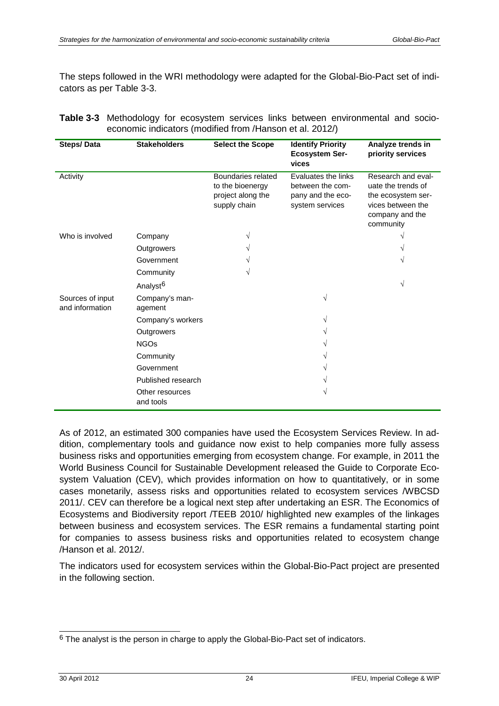The steps followed in the WRI methodology were adapted for the Global-Bio-Pact set of indicators as per [Table](#page-27-0) 3-3.

<span id="page-27-0"></span>

| <b>Table 3-3</b> Methodology for ecosystem services links between environmental and socio- |  |  |  |  |
|--------------------------------------------------------------------------------------------|--|--|--|--|
| economic indicators (modified from /Hanson et al. 2012/)                                   |  |  |  |  |

| <b>Steps/Data</b>                   | <b>Stakeholders</b>          | <b>Select the Scope</b>                                                     | <b>Identify Priority</b><br><b>Ecosystem Ser-</b><br>vices                      | Analyze trends in<br>priority services                                                                              |
|-------------------------------------|------------------------------|-----------------------------------------------------------------------------|---------------------------------------------------------------------------------|---------------------------------------------------------------------------------------------------------------------|
| Activity                            |                              | Boundaries related<br>to the bioenergy<br>project along the<br>supply chain | Evaluates the links<br>between the com-<br>pany and the eco-<br>system services | Research and eval-<br>uate the trends of<br>the ecosystem ser-<br>vices between the<br>company and the<br>community |
| Who is involved                     | Company                      | V                                                                           |                                                                                 |                                                                                                                     |
|                                     | Outgrowers                   |                                                                             |                                                                                 |                                                                                                                     |
|                                     | Government                   |                                                                             |                                                                                 |                                                                                                                     |
|                                     | Community                    |                                                                             |                                                                                 |                                                                                                                     |
|                                     | Analyst <sup>6</sup>         |                                                                             |                                                                                 | $\sqrt{ }$                                                                                                          |
| Sources of input<br>and information | Company's man-<br>agement    |                                                                             | V                                                                               |                                                                                                                     |
|                                     | Company's workers            |                                                                             |                                                                                 |                                                                                                                     |
|                                     | Outgrowers                   |                                                                             |                                                                                 |                                                                                                                     |
|                                     | <b>NGOs</b>                  |                                                                             |                                                                                 |                                                                                                                     |
|                                     | Community                    |                                                                             |                                                                                 |                                                                                                                     |
|                                     | Government                   |                                                                             |                                                                                 |                                                                                                                     |
|                                     | Published research           |                                                                             |                                                                                 |                                                                                                                     |
|                                     | Other resources<br>and tools |                                                                             |                                                                                 |                                                                                                                     |

As of 2012, an estimated 300 companies have used the Ecosystem Services Review. In addition, complementary tools and guidance now exist to help companies more fully assess business risks and opportunities emerging from ecosystem change. For example, in 2011 the World Business Council for Sustainable Development released the Guide to Corporate Ecosystem Valuation (CEV), which provides information on how to quantitatively, or in some cases monetarily, assess risks and opportunities related to ecosystem services /WBCSD 2011/. CEV can therefore be a logical next step after undertaking an ESR. The Economics of Ecosystems and Biodiversity report /TEEB 2010/ highlighted new examples of the linkages between business and ecosystem services. The ESR remains a fundamental starting point for companies to assess business risks and opportunities related to ecosystem change /Hanson et al. 2012/.

The indicators used for ecosystem services within the Global-Bio-Pact project are presented in the following section.

-

<span id="page-27-1"></span> $6$  The analyst is the person in charge to apply the Global-Bio-Pact set of indicators.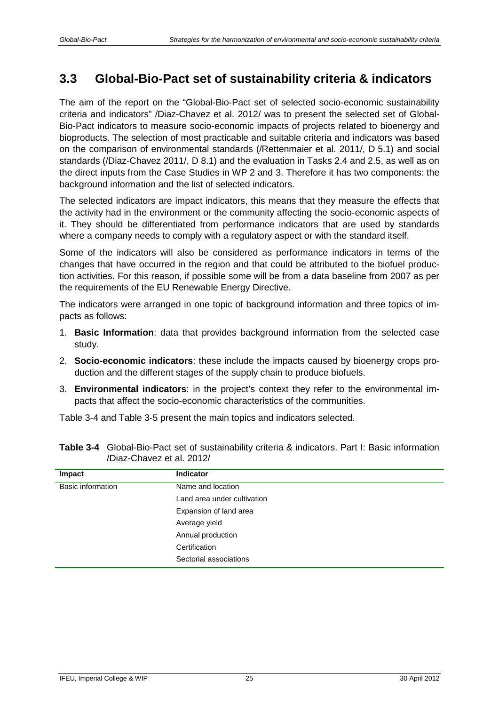## <span id="page-28-0"></span>**3.3 Global-Bio-Pact set of sustainability criteria & indicators**

The aim of the report on the "Global-Bio-Pact set of selected socio-economic sustainability criteria and indicators" /Diaz-Chavez et al. 2012/ was to present the selected set of Global-Bio-Pact indicators to measure socio-economic impacts of projects related to bioenergy and bioproducts. The selection of most practicable and suitable criteria and indicators was based on the comparison of environmental standards (/Rettenmaier et al. 2011/, D 5.1) and social standards (/Diaz-Chavez 2011/, D 8.1) and the evaluation in Tasks 2.4 and 2.5, as well as on the direct inputs from the Case Studies in WP 2 and 3. Therefore it has two components: the background information and the list of selected indicators.

The selected indicators are impact indicators, this means that they measure the effects that the activity had in the environment or the community affecting the socio-economic aspects of it. They should be differentiated from performance indicators that are used by standards where a company needs to comply with a regulatory aspect or with the standard itself.

Some of the indicators will also be considered as performance indicators in terms of the changes that have occurred in the region and that could be attributed to the biofuel production activities. For this reason, if possible some will be from a data baseline from 2007 as per the requirements of the EU Renewable Energy Directive.

The indicators were arranged in one topic of background information and three topics of impacts as follows:

- 1. **Basic Information**: data that provides background information from the selected case study.
- 2. **Socio-economic indicators**: these include the impacts caused by bioenergy crops production and the different stages of the supply chain to produce biofuels.
- 3. **Environmental indicators**: in the project's context they refer to the environmental impacts that affect the socio-economic characteristics of the communities.

[Table](#page-28-1) 3-4 and [Table](#page-29-0) 3-5 present the main topics and indicators selected.

| Impact            | <b>Indicator</b>            |
|-------------------|-----------------------------|
| Basic information | Name and location           |
|                   | Land area under cultivation |
|                   | Expansion of land area      |
|                   | Average yield               |
|                   | Annual production           |
|                   | Certification               |
|                   | Sectorial associations      |

<span id="page-28-1"></span>

| Table 3-4 Global-Bio-Pact set of sustainability criteria & indicators. Part I: Basic information |
|--------------------------------------------------------------------------------------------------|
| /Diaz-Chavez et al. 2012/                                                                        |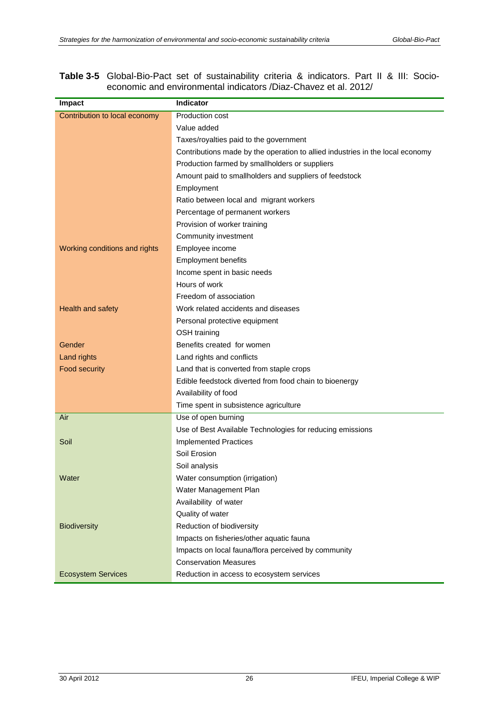<span id="page-29-0"></span>**Table 3-5** Global-Bio-Pact set of sustainability criteria & indicators. Part II & III: Socioeconomic and environmental indicators /Diaz-Chavez et al. 2012/

| Impact                        | <b>Indicator</b>                                                              |
|-------------------------------|-------------------------------------------------------------------------------|
| Contribution to local economy | Production cost                                                               |
|                               | Value added                                                                   |
|                               | Taxes/royalties paid to the government                                        |
|                               | Contributions made by the operation to allied industries in the local economy |
|                               | Production farmed by smallholders or suppliers                                |
|                               | Amount paid to smallholders and suppliers of feedstock                        |
|                               | Employment                                                                    |
|                               | Ratio between local and migrant workers                                       |
|                               | Percentage of permanent workers                                               |
|                               | Provision of worker training                                                  |
|                               | Community investment                                                          |
| Working conditions and rights | Employee income                                                               |
|                               | <b>Employment benefits</b>                                                    |
|                               | Income spent in basic needs                                                   |
|                               | Hours of work                                                                 |
|                               | Freedom of association                                                        |
| Health and safety             | Work related accidents and diseases                                           |
|                               | Personal protective equipment                                                 |
|                               | OSH training                                                                  |
| Gender                        | Benefits created for women                                                    |
| Land rights                   | Land rights and conflicts                                                     |
| Food security                 | Land that is converted from staple crops                                      |
|                               | Edible feedstock diverted from food chain to bioenergy                        |
|                               | Availability of food                                                          |
|                               | Time spent in subsistence agriculture                                         |
| Air                           | Use of open burning                                                           |
|                               | Use of Best Available Technologies for reducing emissions                     |
| Soil                          | <b>Implemented Practices</b>                                                  |
|                               | Soil Erosion                                                                  |
|                               | Soil analysis                                                                 |
| Water                         | Water consumption (irrigation)                                                |
|                               | Water Management Plan                                                         |
|                               | Availability of water                                                         |
|                               | Quality of water                                                              |
| <b>Biodiversity</b>           | Reduction of biodiversity                                                     |
|                               | Impacts on fisheries/other aquatic fauna                                      |
|                               | Impacts on local fauna/flora perceived by community                           |
|                               | <b>Conservation Measures</b>                                                  |
| <b>Ecosystem Services</b>     | Reduction in access to ecosystem services                                     |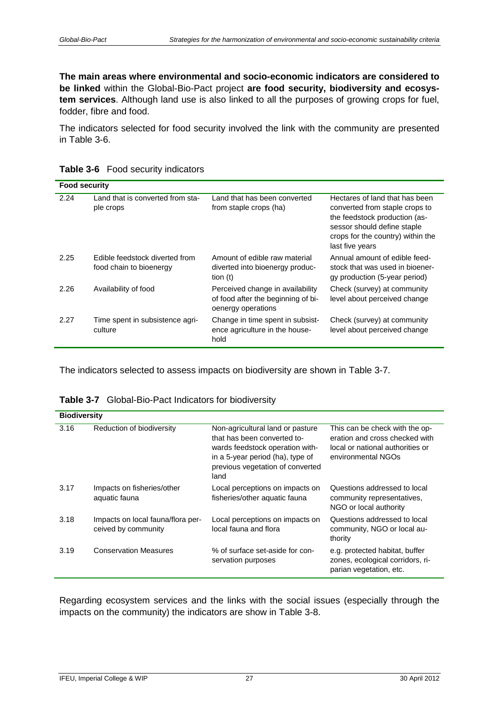**The main areas where environmental and socio-economic indicators are considered to be linked** within the Global-Bio-Pact project **are food security, biodiversity and ecosystem services**. Although land use is also linked to all the purposes of growing crops for fuel, fodder, fibre and food.

The indicators selected for food security involved the link with the community are presented in [Table](#page-30-0) 3-6.

| <b>Food security</b> |                                                           |                                                                                              |                                                                                                                                                                                          |
|----------------------|-----------------------------------------------------------|----------------------------------------------------------------------------------------------|------------------------------------------------------------------------------------------------------------------------------------------------------------------------------------------|
| 2.24                 | Land that is converted from sta-<br>ple crops             | Land that has been converted<br>from staple crops (ha)                                       | Hectares of land that has been<br>converted from staple crops to<br>the feedstock production (as-<br>sessor should define staple<br>crops for the country) within the<br>last five years |
| 2.25                 | Edible feedstock diverted from<br>food chain to bioenergy | Amount of edible raw material<br>diverted into bioenergy produc-<br>tion $(t)$               | Annual amount of edible feed-<br>stock that was used in bioener-<br>gy production (5-year period)                                                                                        |
| 2.26                 | Availability of food                                      | Perceived change in availability<br>of food after the beginning of bi-<br>oenergy operations | Check (survey) at community<br>level about perceived change                                                                                                                              |
| 2.27                 | Time spent in subsistence agri-<br>culture                | Change in time spent in subsist-<br>ence agriculture in the house-<br>hold                   | Check (survey) at community<br>level about perceived change                                                                                                                              |

<span id="page-30-0"></span>**Table 3-6** Food security indicators

The indicators selected to assess impacts on biodiversity are shown in [Table](#page-30-1) 3-7.

<span id="page-30-1"></span>

| <b>Biodiversity</b> |                                                          |                                                                                                                                                                                    |                                                                                                                            |
|---------------------|----------------------------------------------------------|------------------------------------------------------------------------------------------------------------------------------------------------------------------------------------|----------------------------------------------------------------------------------------------------------------------------|
| 3.16                | Reduction of biodiversity                                | Non-agricultural land or pasture<br>that has been converted to-<br>wards feedstock operation with-<br>in a 5-year period (ha), type of<br>previous vegetation of converted<br>land | This can be check with the op-<br>eration and cross checked with<br>local or national authorities or<br>environmental NGOs |
| 3.17                | Impacts on fisheries/other<br>aquatic fauna              | Local perceptions on impacts on<br>fisheries/other aquatic fauna                                                                                                                   | Questions addressed to local<br>community representatives,<br>NGO or local authority                                       |
| 3.18                | Impacts on local fauna/flora per-<br>ceived by community | Local perceptions on impacts on<br>local fauna and flora                                                                                                                           | Questions addressed to local<br>community, NGO or local au-<br>thority                                                     |
| 3.19                | <b>Conservation Measures</b>                             | % of surface set-aside for con-<br>servation purposes                                                                                                                              | e.g. protected habitat, buffer<br>zones, ecological corridors, ri-<br>parian vegetation, etc.                              |

Regarding ecosystem services and the links with the social issues (especially through the impacts on the community) the indicators are show in [Table](#page-31-1) 3-8.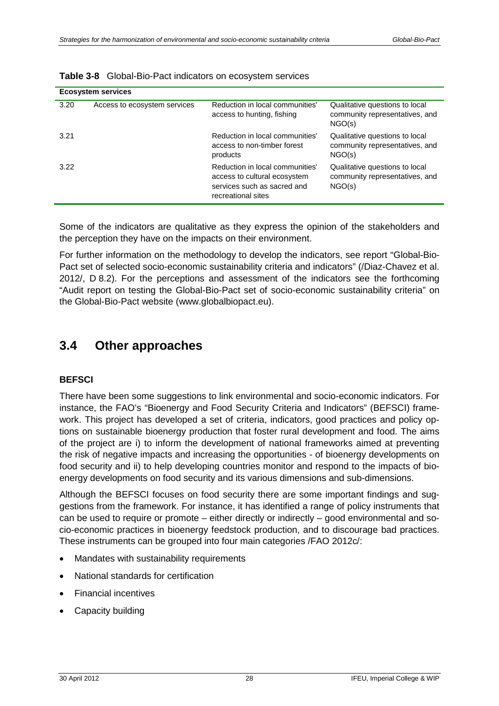| <b>Ecosystem services</b> |                              |                                                                                                                      |                                                                            |
|---------------------------|------------------------------|----------------------------------------------------------------------------------------------------------------------|----------------------------------------------------------------------------|
| 3.20                      | Access to ecosystem services | Reduction in local communities'<br>access to hunting, fishing                                                        | Qualitative questions to local<br>community representatives, and<br>NGO(s) |
| 3.21                      |                              | Reduction in local communities'<br>access to non-timber forest<br>products                                           | Qualitative questions to local<br>community representatives, and<br>NGO(s) |
| 3.22                      |                              | Reduction in local communities'<br>access to cultural ecosystem<br>services such as sacred and<br>recreational sites | Qualitative questions to local<br>community representatives, and<br>NGO(s) |

<span id="page-31-1"></span>

Some of the indicators are qualitative as they express the opinion of the stakeholders and the perception they have on the impacts on their environment.

For further information on the methodology to develop the indicators, see report "Global-Bio-Pact set of selected socio-economic sustainability criteria and indicators" (/Diaz-Chavez et al. 2012/, D 8.2). For the perceptions and assessment of the indicators see the forthcoming "Audit report on testing the Global-Bio-Pact set of socio-economic sustainability criteria" on the Global-Bio-Pact website (www.globalbiopact.eu).

### <span id="page-31-0"></span>**3.4 Other approaches**

#### **BEFSCI**

There have been some suggestions to link environmental and socio-economic indicators. For instance, the FAO's "Bioenergy and Food Security Criteria and Indicators" (BEFSCI) framework. This project has developed a set of criteria, indicators, good practices and policy options on sustainable bioenergy production that foster rural development and food. The aims of the project are i) to inform the development of national frameworks aimed at preventing the risk of negative impacts and increasing the opportunities - of bioenergy developments on food security and ii) to help developing countries monitor and respond to the impacts of bioenergy developments on food security and its various dimensions and sub-dimensions.

Although the BEFSCI focuses on food security there are some important findings and suggestions from the framework. For instance, it has identified a range of policy instruments that can be used to require or promote – either directly or indirectly – good environmental and socio-economic practices in bioenergy feedstock production, and to discourage bad practices. These instruments can be grouped into four main categories /FAO 2012c/:

- Mandates with sustainability requirements
- National standards for certification
- Financial incentives
- Capacity building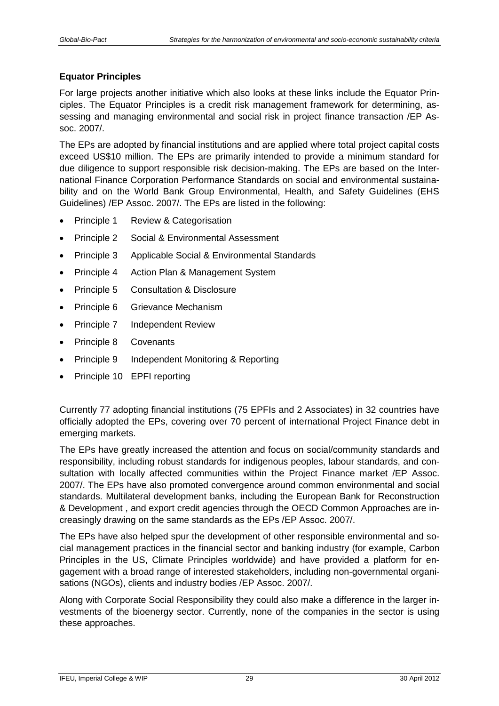### **Equator Principles**

For large projects another initiative which also looks at these links include the Equator Principles. The Equator Principles is a credit risk management framework for determining, assessing and managing environmental and social risk in project finance transaction /EP Assoc. 2007/.

The EPs are adopted by financial institutions and are applied where total project capital costs exceed US\$10 million. The EPs are primarily intended to provide a minimum standard for due diligence to support responsible risk decision-making. The EPs are based on the International Finance Corporation Performance Standards on social and environmental sustainability and on the World Bank Group Environmental, Health, and Safety Guidelines (EHS Guidelines) /EP Assoc. 2007/. The EPs are listed in the following:

- Principle 1 Review & Categorisation
- Principle 2 Social & Environmental Assessment
- Principle 3 Applicable Social & Environmental Standards
- Principle 4 Action Plan & Management System
- Principle 5 Consultation & Disclosure
- Principle 6 Grievance Mechanism
- Principle 7 Independent Review
- Principle 8 Covenants
- Principle 9 Independent Monitoring & Reporting
- Principle 10 EPFI reporting

Currently 77 adopting financial institutions (75 EPFIs and 2 Associates) in 32 countries have officially adopted the EPs, covering over 70 percent of international Project Finance debt in emerging markets.

The EPs have greatly increased the attention and focus on social/community standards and responsibility, including robust standards for indigenous peoples, labour standards, and consultation with locally affected communities within the Project Finance market /EP Assoc. 2007/. The EPs have also promoted convergence around common environmental and social standards. Multilateral development banks, including the European Bank for Reconstruction & Development , and export credit agencies through the OECD Common Approaches are increasingly drawing on the same standards as the EPs /EP Assoc. 2007/.

The EPs have also helped spur the development of other responsible environmental and social management practices in the financial sector and banking industry (for example, Carbon Principles in the US, Climate Principles worldwide) and have provided a platform for engagement with a broad range of interested stakeholders, including non-governmental organisations (NGOs), clients and industry bodies /EP Assoc. 2007/.

Along with Corporate Social Responsibility they could also make a difference in the larger investments of the bioenergy sector. Currently, none of the companies in the sector is using these approaches.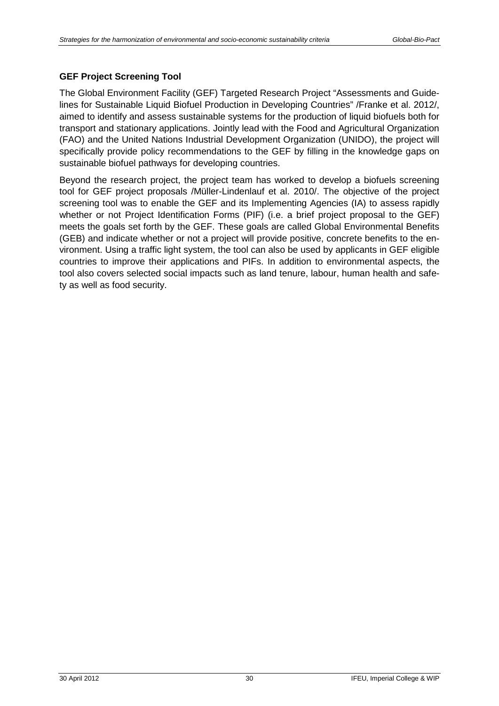### **GEF Project Screening Tool**

The Global Environment Facility (GEF) Targeted Research Project "Assessments and Guidelines for Sustainable Liquid Biofuel Production in Developing Countries" /Franke et al. 2012/, aimed to identify and assess sustainable systems for the production of liquid biofuels both for transport and stationary applications. Jointly lead with the Food and Agricultural Organization (FAO) and the United Nations Industrial Development Organization (UNIDO), the project will specifically provide policy recommendations to the GEF by filling in the knowledge gaps on sustainable biofuel pathways for developing countries.

Beyond the research project, the project team has worked to develop a biofuels screening tool for GEF project proposals /Müller-Lindenlauf et al. 2010/. The objective of the project screening tool was to enable the GEF and its Implementing Agencies (IA) to assess rapidly whether or not Project Identification Forms (PIF) (i.e. a brief project proposal to the GEF) meets the goals set forth by the GEF. These goals are called Global Environmental Benefits (GEB) and indicate whether or not a project will provide positive, concrete benefits to the environment. Using a traffic light system, the tool can also be used by applicants in GEF eligible countries to improve their applications and PIFs. In addition to environmental aspects, the tool also covers selected social impacts such as land tenure, labour, human health and safety as well as food security.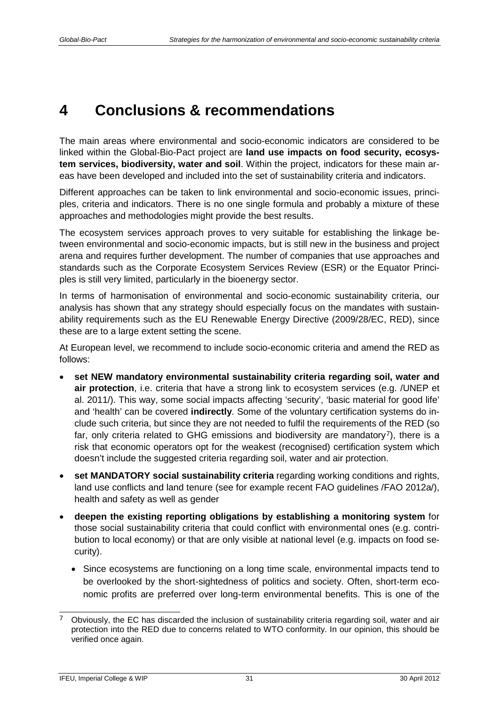## <span id="page-34-0"></span>**4 Conclusions & recommendations**

The main areas where environmental and socio-economic indicators are considered to be linked within the Global-Bio-Pact project are **land use impacts on food security, ecosystem services, biodiversity, water and soil**. Within the project, indicators for these main areas have been developed and included into the set of sustainability criteria and indicators.

Different approaches can be taken to link environmental and socio-economic issues, principles, criteria and indicators. There is no one single formula and probably a mixture of these approaches and methodologies might provide the best results.

The ecosystem services approach proves to very suitable for establishing the linkage between environmental and socio-economic impacts, but is still new in the business and project arena and requires further development. The number of companies that use approaches and standards such as the Corporate Ecosystem Services Review (ESR) or the Equator Principles is still very limited, particularly in the bioenergy sector.

In terms of harmonisation of environmental and socio-economic sustainability criteria, our analysis has shown that any strategy should especially focus on the mandates with sustainability requirements such as the EU Renewable Energy Directive (2009/28/EC, RED), since these are to a large extent setting the scene.

At European level, we recommend to include socio-economic criteria and amend the RED as follows:

- **set NEW mandatory environmental sustainability criteria regarding soil, water and air protection**, i.e. criteria that have a strong link to ecosystem services (e.g. /UNEP et al. 2011/). This way, some social impacts affecting 'security', 'basic material for good life' and 'health' can be covered **indirectly**. Some of the voluntary certification systems do include such criteria, but since they are not needed to fulfil the requirements of the RED (so far, only criteria related to GHG emissions and biodiversity are mandatory<sup>7</sup>), there is a risk that economic operators opt for the weakest (recognised) certification system which doesn't include the suggested criteria regarding soil, water and air protection.
- **set MANDATORY social sustainability criteria** regarding working conditions and rights, land use conflicts and land tenure (see for example recent FAO guidelines /FAO 2012a/), health and safety as well as gender
- **deepen the existing reporting obligations by establishing a monitoring system** for those social sustainability criteria that could conflict with environmental ones (e.g. contribution to local economy) or that are only visible at national level (e.g. impacts on food security).
	- Since ecosystems are functioning on a long time scale, environmental impacts tend to be overlooked by the short-sightedness of politics and society. Often, short-term economic profits are preferred over long-term environmental benefits. This is one of the

-

<span id="page-34-1"></span><sup>7</sup> Obviously, the EC has discarded the inclusion of sustainability criteria regarding soil, water and air protection into the RED due to concerns related to WTO conformity. In our opinion, this should be verified once again.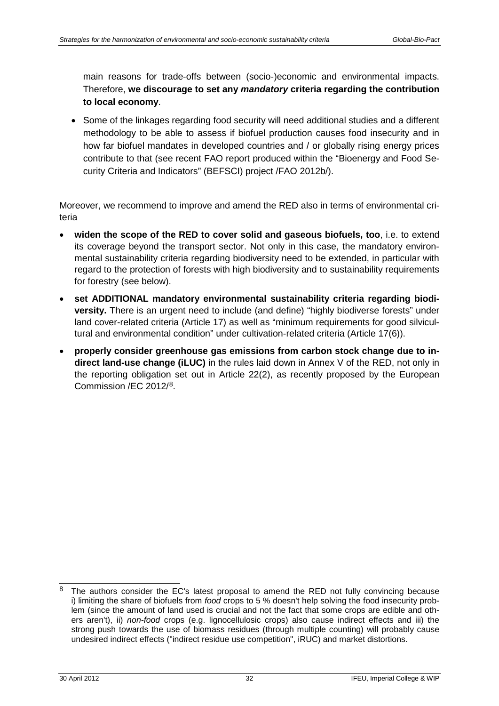main reasons for trade-offs between (socio-)economic and environmental impacts. Therefore, **we discourage to set any** *mandatory* **criteria regarding the contribution to local economy**.

• Some of the linkages regarding food security will need additional studies and a different methodology to be able to assess if biofuel production causes food insecurity and in how far biofuel mandates in developed countries and / or globally rising energy prices contribute to that (see recent FAO report produced within the "Bioenergy and Food Security Criteria and Indicators" (BEFSCI) project /FAO 2012b/).

Moreover, we recommend to improve and amend the RED also in terms of environmental criteria

- **widen the scope of the RED to cover solid and gaseous biofuels, too**, i.e. to extend its coverage beyond the transport sector. Not only in this case, the mandatory environmental sustainability criteria regarding biodiversity need to be extended, in particular with regard to the protection of forests with high biodiversity and to sustainability requirements for forestry (see below).
- **set ADDITIONAL mandatory environmental sustainability criteria regarding biodiversity.** There is an urgent need to include (and define) "highly biodiverse forests" under land cover-related criteria (Article 17) as well as "minimum requirements for good silvicultural and environmental condition" under cultivation-related criteria (Article 17(6)).
- **properly consider greenhouse gas emissions from carbon stock change due to indirect land-use change (iLUC)** in the rules laid down in Annex V of the RED, not only in the reporting obligation set out in Article 22(2), as recently proposed by the European Commission /EC 2012/[8](#page-35-0).

-

<span id="page-35-0"></span><sup>&</sup>lt;sup>8</sup> The authors consider the EC's latest proposal to amend the RED not fully convincing because i) limiting the share of biofuels from *food* crops to 5 % doesn't help solving the food insecurity problem (since the amount of land used is crucial and not the fact that some crops are edible and others aren't), ii) *non-food* crops (e.g. lignocellulosic crops) also cause indirect effects and iii) the strong push towards the use of biomass residues (through multiple counting) will probably cause undesired indirect effects ("indirect residue use competition", iRUC) and market distortions.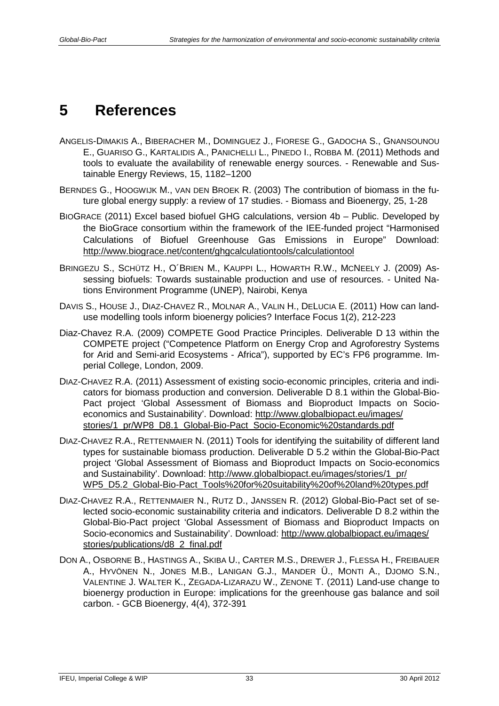## <span id="page-36-0"></span>**5 References**

- ANGELIS-DIMAKIS A., BIBERACHER M., DOMINGUEZ J., FIORESE G., GADOCHA S., GNANSOUNOU E., GUARISO G., KARTALIDIS A., PANICHELLI L., PINEDO I., ROBBA M. (2011) Methods and tools to evaluate the availability of renewable energy sources. - Renewable and Sustainable Energy Reviews, 15, 1182–1200
- BERNDES G., HOOGWIJK M., VAN DEN BROEK R. (2003) The contribution of biomass in the future global energy supply: a review of 17 studies. - Biomass and Bioenergy, 25, 1-28
- BIOGRACE (2011) Excel based biofuel GHG calculations, version 4b Public. Developed by the BioGrace consortium within the framework of the IEE-funded project "Harmonised Calculations of Biofuel Greenhouse Gas Emissions in Europe" Download: <http://www.biograce.net/content/ghgcalculationtools/calculationtool>
- BRINGEZU S., SCHÜTZ H., O´BRIEN M., KAUPPI L., HOWARTH R.W., MCNEELY J. (2009) Assessing biofuels: Towards sustainable production and use of resources. - United Nations Environment Programme (UNEP), Nairobi, Kenya
- DAVIS S., HOUSE J., DIAZ-CHAVEZ R., MOLNAR A., VALIN H., DELUCIA E. (2011) How can landuse modelling tools inform bioenergy policies? Interface Focus 1(2), 212-223
- Diaz-Chavez R.A. (2009) COMPETE Good Practice Principles. Deliverable D 13 within the COMPETE project ("Competence Platform on Energy Crop and Agroforestry Systems for Arid and Semi-arid Ecosystems - Africa"), supported by EC's FP6 programme. Imperial College, London, 2009.
- DIAZ-CHAVEZ R.A. (2011) Assessment of existing socio-economic principles, criteria and indicators for biomass production and conversion. Deliverable D 8.1 within the Global-Bio-Pact project 'Global Assessment of Biomass and Bioproduct Impacts on Socioeconomics and Sustainability'. Download: [http://www.globalbiopact.eu/images/](http://www.globalbiopact.eu/images/stories/1_pr/WP8_D8.1_Global-Bio-Pact_Socio-Economic%20standards.pdf) [stories/1\\_pr/WP8\\_D8.1\\_Global-Bio-Pact\\_Socio-Economic%20standards.pdf](http://www.globalbiopact.eu/images/stories/1_pr/WP8_D8.1_Global-Bio-Pact_Socio-Economic%20standards.pdf)
- DIAZ-CHAVEZ R.A., RETTENMAIER N. (2011) Tools for identifying the suitability of different land types for sustainable biomass production. Deliverable D 5.2 within the Global-Bio-Pact project 'Global Assessment of Biomass and Bioproduct Impacts on Socio-economics and Sustainability'. Download: [http://www.globalbiopact.eu/images/stories/1\\_pr/](http://www.globalbiopact.eu/images/stories/1_pr/WP5_D5.2_Global-Bio-Pact_Tools%20for%20suitability%20of%20land%20types.pdf) [WP5\\_D5.2\\_Global-Bio-Pact\\_Tools%20for%20suitability%20of%20land%20types.pdf](http://www.globalbiopact.eu/images/stories/1_pr/WP5_D5.2_Global-Bio-Pact_Tools%20for%20suitability%20of%20land%20types.pdf)
- DIAZ-CHAVEZ R.A., RETTENMAIER N., RUTZ D., JANSSEN R. (2012) Global-Bio-Pact set of selected socio-economic sustainability criteria and indicators. Deliverable D 8.2 within the Global-Bio-Pact project 'Global Assessment of Biomass and Bioproduct Impacts on Socio-economics and Sustainability'. Download: [http://www.globalbiopact.eu/images/](http://www.globalbiopact.eu/images/stories/publications/d8_2_final.pdf) [stories/publications/d8\\_2\\_final.pdf](http://www.globalbiopact.eu/images/stories/publications/d8_2_final.pdf)
- DON A., OSBORNE B., HASTINGS A., SKIBA U., CARTER M.S., DREWER J., FLESSA H., FREIBAUER A., HYVÖNEN N., JONES M.B., LANIGAN G.J., MANDER Ü., MONTI A., DJOMO S.N., VALENTINE J. WALTER K., ZEGADA-LIZARAZU W., ZENONE T. (2011) Land-use change to bioenergy production in Europe: implications for the greenhouse gas balance and soil carbon. - GCB Bioenergy, 4(4), 372-391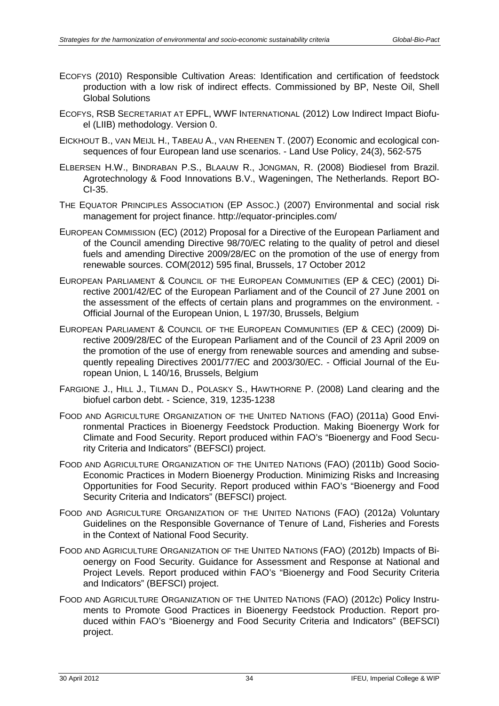- ECOFYS (2010) Responsible Cultivation Areas: Identification and certification of feedstock production with a low risk of indirect effects. Commissioned by BP, Neste Oil, Shell Global Solutions
- ECOFYS, RSB SECRETARIAT AT EPFL, WWF INTERNATIONAL (2012) Low Indirect Impact Biofuel (LIIB) methodology. Version 0.
- EICKHOUT B., VAN MEIJL H., TABEAU A., VAN RHEENEN T. (2007) Economic and ecological consequences of four European land use scenarios. - Land Use Policy, 24(3), 562-575
- ELBERSEN H.W., BINDRABAN P.S., BLAAUW R., JONGMAN, R. (2008) Biodiesel from Brazil. Agrotechnology & Food Innovations B.V., Wageningen, The Netherlands. Report BO-CI-35.
- THE EQUATOR PRINCIPLES ASSOCIATION (EP ASSOC.) (2007) Environmental and social risk management for project finance. http://equator-principles.com/
- EUROPEAN COMMISSION (EC) (2012) Proposal for a Directive of the European Parliament and of the Council amending Directive 98/70/EC relating to the quality of petrol and diesel fuels and amending Directive 2009/28/EC on the promotion of the use of energy from renewable sources. COM(2012) 595 final, Brussels, 17 October 2012
- EUROPEAN PARLIAMENT & COUNCIL OF THE EUROPEAN COMMUNITIES (EP & CEC) (2001) Directive 2001/42/EC of the European Parliament and of the Council of 27 June 2001 on the assessment of the effects of certain plans and programmes on the environment. - Official Journal of the European Union, L 197/30, Brussels, Belgium
- EUROPEAN PARLIAMENT & COUNCIL OF THE EUROPEAN COMMUNITIES (EP & CEC) (2009) Directive 2009/28/EC of the European Parliament and of the Council of 23 April 2009 on the promotion of the use of energy from renewable sources and amending and subsequently repealing Directives 2001/77/EC and 2003/30/EC. - Official Journal of the European Union, L 140/16, Brussels, Belgium
- FARGIONE J., HILL J., TILMAN D., POLASKY S., HAWTHORNE P. (2008) Land clearing and the biofuel carbon debt. - Science, 319, 1235-1238
- FOOD AND AGRICULTURE ORGANIZATION OF THE UNITED NATIONS (FAO) (2011a) Good Environmental Practices in Bioenergy Feedstock Production. Making Bioenergy Work for Climate and Food Security. Report produced within FAO's "Bioenergy and Food Security Criteria and Indicators" (BEFSCI) project.
- FOOD AND AGRICULTURE ORGANIZATION OF THE UNITED NATIONS (FAO) (2011b) Good Socio-Economic Practices in Modern Bioenergy Production. Minimizing Risks and Increasing Opportunities for Food Security. Report produced within FAO's "Bioenergy and Food Security Criteria and Indicators" (BEFSCI) project.
- FOOD AND AGRICULTURE ORGANIZATION OF THE UNITED NATIONS (FAO) (2012a) Voluntary Guidelines on the Responsible Governance of Tenure of Land, Fisheries and Forests in the Context of National Food Security.
- FOOD AND AGRICULTURE ORGANIZATION OF THE UNITED NATIONS (FAO) (2012b) Impacts of Bioenergy on Food Security. Guidance for Assessment and Response at National and Project Levels. Report produced within FAO's "Bioenergy and Food Security Criteria and Indicators" (BEFSCI) project.
- FOOD AND AGRICULTURE ORGANIZATION OF THE UNITED NATIONS (FAO) (2012c) Policy Instruments to Promote Good Practices in Bioenergy Feedstock Production. Report produced within FAO's "Bioenergy and Food Security Criteria and Indicators" (BEFSCI) project.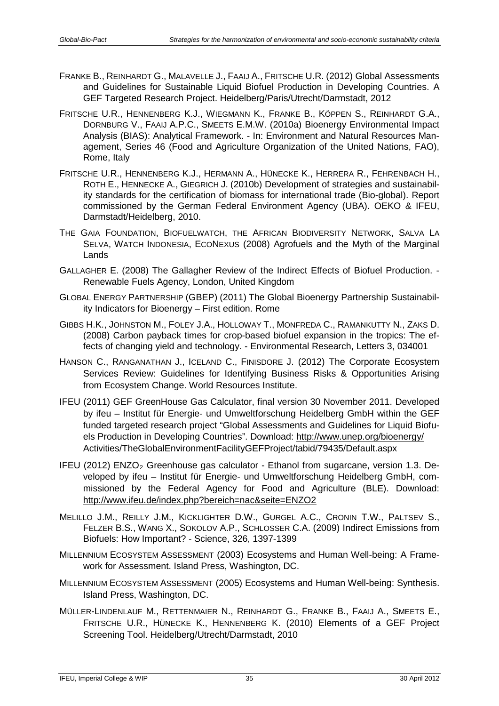- FRANKE B., REINHARDT G., MALAVELLE J., FAAIJ A., FRITSCHE U.R. (2012) Global Assessments and Guidelines for Sustainable Liquid Biofuel Production in Developing Countries. A GEF Targeted Research Project. Heidelberg/Paris/Utrecht/Darmstadt, 2012
- FRITSCHE U.R., HENNENBERG K.J., WIEGMANN K., FRANKE B., KÖPPEN S., REINHARDT G.A., DORNBURG V., FAAIJ A.P.C., SMEETS E.M.W. (2010a) Bioenergy Environmental Impact Analysis (BIAS): Analytical Framework. - In: Environment and Natural Resources Management, Series 46 (Food and Agriculture Organization of the United Nations, FAO), Rome, Italy
- FRITSCHE U.R., HENNENBERG K.J., HERMANN A., HÜNECKE K., HERRERA R., FEHRENBACH H., ROTH E., HENNECKE A., GIEGRICH J. (2010b) Development of strategies and sustainability standards for the certification of biomass for international trade (Bio-global). Report commissioned by the German Federal Environment Agency (UBA). OEKO & IFEU, Darmstadt/Heidelberg, 2010.
- THE GAIA FOUNDATION, BIOFUELWATCH, THE AFRICAN BIODIVERSITY NETWORK, SALVA LA SELVA, WATCH INDONESIA, ECONEXUS (2008) Agrofuels and the Myth of the Marginal Lands
- GALLAGHER E. (2008) The Gallagher Review of the Indirect Effects of Biofuel Production. Renewable Fuels Agency, London, United Kingdom
- GLOBAL ENERGY PARTNERSHIP (GBEP) (2011) The Global Bioenergy Partnership Sustainability Indicators for Bioenergy – First edition. Rome
- GIBBS H.K., JOHNSTON M., FOLEY J.A., HOLLOWAY T., MONFREDA C., RAMANKUTTY N., ZAKS D. (2008) Carbon payback times for crop-based biofuel expansion in the tropics: The effects of changing yield and technology. - Environmental Research, Letters 3, 034001
- HANSON C., RANGANATHAN J., ICELAND C., FINISDORE J. (2012) The Corporate Ecosystem Services Review: Guidelines for Identifying Business Risks & Opportunities Arising from Ecosystem Change. World Resources Institute.
- IFEU (2011) GEF GreenHouse Gas Calculator, final version 30 November 2011. Developed by ifeu – Institut für Energie- und Umweltforschung Heidelberg GmbH within the GEF funded targeted research project "Global Assessments and Guidelines for Liquid Biofuels Production in Developing Countries". Download: [http://www.unep.org/bioenergy/](http://www.unep.org/bioenergy/Activities/TheGlobalEnvironmentFacilityGEFProject/tabid/79435/Default.aspx) [Activities/TheGlobalEnvironmentFacilityGEFProject/tabid/79435/Default.aspx](http://www.unep.org/bioenergy/Activities/TheGlobalEnvironmentFacilityGEFProject/tabid/79435/Default.aspx)
- IFEU (2012) ENZO<sub>2</sub> Greenhouse gas calculator Ethanol from sugarcane, version 1.3. Developed by ifeu – Institut für Energie- und Umweltforschung Heidelberg GmbH, commissioned by the Federal Agency for Food and Agriculture (BLE). Download: <http://www.ifeu.de/index.php?bereich=nac&seite=ENZO2>
- MELILLO J.M., REILLY J.M., KICKLIGHTER D.W., GURGEL A.C., CRONIN T.W., PALTSEV S., FELZER B.S., WANG X., SOKOLOV A.P., SCHLOSSER C.A. (2009) Indirect Emissions from Biofuels: How Important? - Science, 326, 1397-1399
- MILLENNIUM ECOSYSTEM ASSESSMENT (2003) Ecosystems and Human Well-being: A Framework for Assessment. Island Press, Washington, DC.
- MILLENNIUM ECOSYSTEM ASSESSMENT (2005) Ecosystems and Human Well-being: Synthesis. Island Press, Washington, DC.
- MÜLLER-LINDENLAUF M., RETTENMAIER N., REINHARDT G., FRANKE B., FAAIJ A., SMEETS E., FRITSCHE U.R., HÜNECKE K., HENNENBERG K. (2010) Elements of a GEF Project Screening Tool. Heidelberg/Utrecht/Darmstadt, 2010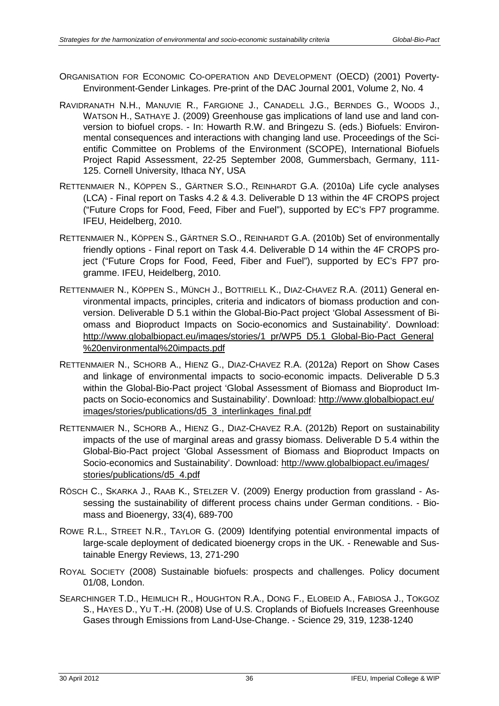- ORGANISATION FOR ECONOMIC CO-OPERATION AND DEVELOPMENT (OECD) (2001) Poverty-Environment-Gender Linkages. Pre-print of the DAC Journal 2001, Volume 2, No. 4
- RAVIDRANATH N.H., MANUVIE R., FARGIONE J., CANADELL J.G., BERNDES G., WOODS J., WATSON H., SATHAYE J. (2009) Greenhouse gas implications of land use and land conversion to biofuel crops. - In: Howarth R.W. and Bringezu S. (eds.) Biofuels: Environmental consequences and interactions with changing land use. Proceedings of the Scientific Committee on Problems of the Environment (SCOPE), International Biofuels Project Rapid Assessment, 22-25 September 2008, Gummersbach, Germany, 111- 125. Cornell University, Ithaca NY, USA
- RETTENMAIER N., KÖPPEN S., GÄRTNER S.O., REINHARDT G.A. (2010a) Life cycle analyses (LCA) - Final report on Tasks 4.2 & 4.3. Deliverable D 13 within the 4F CROPS project ("Future Crops for Food, Feed, Fiber and Fuel"), supported by EC's FP7 programme. IFEU, Heidelberg, 2010.
- RETTENMAIER N., KÖPPEN S., GÄRTNER S.O., REINHARDT G.A. (2010b) Set of environmentally friendly options - Final report on Task 4.4. Deliverable D 14 within the 4F CROPS project ("Future Crops for Food, Feed, Fiber and Fuel"), supported by EC's FP7 programme. IFEU, Heidelberg, 2010.
- RETTENMAIER N., KÖPPEN S., MÜNCH J., BOTTRIELL K., DIAZ-CHAVEZ R.A. (2011) General environmental impacts, principles, criteria and indicators of biomass production and conversion. Deliverable D 5.1 within the Global-Bio-Pact project 'Global Assessment of Biomass and Bioproduct Impacts on Socio-economics and Sustainability'. Download: [http://www.globalbiopact.eu/images/stories/1\\_pr/WP5\\_D5.1\\_Global-Bio-Pact\\_General](http://www.globalbiopact.eu/images/stories/1_pr/WP5_D5.1_Global-Bio-Pact_General%20environmental%20impacts.pdf) [%20environmental%20impacts.pdf](http://www.globalbiopact.eu/images/stories/1_pr/WP5_D5.1_Global-Bio-Pact_General%20environmental%20impacts.pdf)
- RETTENMAIER N., SCHORB A., HIENZ G., DIAZ-CHAVEZ R.A. (2012a) Report on Show Cases and linkage of environmental impacts to socio-economic impacts. Deliverable D 5.3 within the Global-Bio-Pact project 'Global Assessment of Biomass and Bioproduct Impacts on Socio-economics and Sustainability'. Download: [http://www.globalbiopact.eu/](http://www.globalbiopact.eu/images/stories/publications/d5_3_interlinkages_final.pdf) [images/stories/publications/d5\\_3\\_interlinkages\\_final.pdf](http://www.globalbiopact.eu/images/stories/publications/d5_3_interlinkages_final.pdf)
- RETTENMAIER N., SCHORB A., HIENZ G., DIAZ-CHAVEZ R.A. (2012b) Report on sustainability impacts of the use of marginal areas and grassy biomass. Deliverable D 5.4 within the Global-Bio-Pact project 'Global Assessment of Biomass and Bioproduct Impacts on Socio-economics and Sustainability'. Download: [http://www.globalbiopact.eu/images/](http://www.globalbiopact.eu/images/stories/publications/d5_4.pdf) [stories/publications/d5\\_4.pdf](http://www.globalbiopact.eu/images/stories/publications/d5_4.pdf)
- RÖSCH C., SKARKA J., RAAB K., STELZER V. (2009) Energy production from grassland Assessing the sustainability of different process chains under German conditions. - Biomass and Bioenergy, 33(4), 689-700
- ROWE R.L., STREET N.R., TAYLOR G. (2009) Identifying potential environmental impacts of large-scale deployment of dedicated bioenergy crops in the UK. - Renewable and Sustainable Energy Reviews, 13, 271-290
- ROYAL SOCIETY (2008) Sustainable biofuels: prospects and challenges. Policy document 01/08, London.
- SEARCHINGER T.D., HEIMLICH R., HOUGHTON R.A., DONG F., ELOBEID A., FABIOSA J., TOKGOZ S., HAYES D., YU T.-H. (2008) Use of U.S. Croplands of Biofuels Increases Greenhouse Gases through Emissions from Land-Use-Change. - Science 29, 319, 1238-1240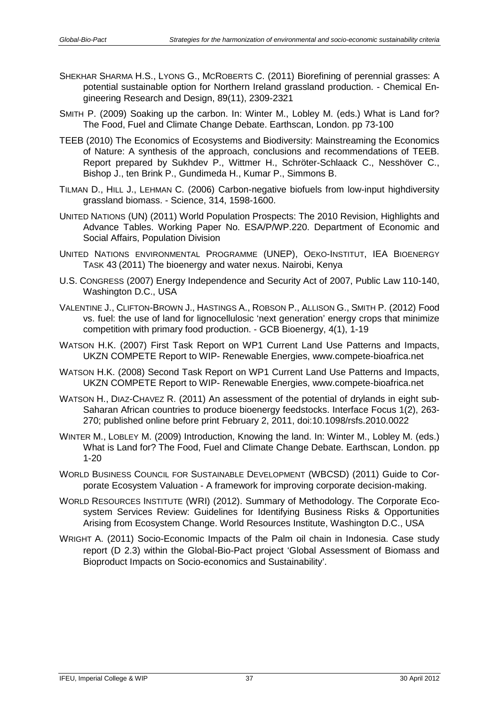- SHEKHAR SHARMA H.S., LYONS G., MCROBERTS C. (2011) Biorefining of perennial grasses: A potential sustainable option for Northern Ireland grassland production. - Chemical Engineering Research and Design, 89(11), 2309-2321
- SMITH P. (2009) Soaking up the carbon. In: Winter M., Lobley M. (eds.) What is Land for? The Food, Fuel and Climate Change Debate. Earthscan, London. pp 73-100
- TEEB (2010) The Economics of Ecosystems and Biodiversity: Mainstreaming the Economics of Nature: A synthesis of the approach, conclusions and recommendations of TEEB. Report prepared by Sukhdev P., Wittmer H., Schröter-Schlaack C., Nesshöver C., Bishop J., ten Brink P., Gundimeda H., Kumar P., Simmons B.
- TILMAN D., HILL J., LEHMAN C. (2006) Carbon-negative biofuels from low-input highdiversity grassland biomass. - Science, 314, 1598-1600.
- UNITED NATIONS (UN) (2011) World Population Prospects: The 2010 Revision, Highlights and Advance Tables. Working Paper No. ESA/P/WP.220. Department of Economic and Social Affairs, Population Division
- UNITED NATIONS ENVIRONMENTAL PROGRAMME (UNEP), OEKO-INSTITUT, IEA BIOENERGY TASK 43 (2011) The bioenergy and water nexus. Nairobi, Kenya
- U.S. CONGRESS (2007) Energy Independence and Security Act of 2007, Public Law 110-140, Washington D.C., USA
- VALENTINE J., CLIFTON-BROWN J., HASTINGS A., ROBSON P., ALLISON G., SMITH P. (2012) Food vs. fuel: the use of land for lignocellulosic 'next generation' energy crops that minimize competition with primary food production. - GCB Bioenergy, 4(1), 1-19
- WATSON H.K. (2007) First Task Report on WP1 Current Land Use Patterns and Impacts, UKZN COMPETE Report to WIP- Renewable Energies, www.compete-bioafrica.net
- WATSON H.K. (2008) Second Task Report on WP1 Current Land Use Patterns and Impacts, UKZN COMPETE Report to WIP- Renewable Energies, www.compete-bioafrica.net
- WATSON H., DIAZ-CHAVEZ R. (2011) An assessment of the potential of drylands in eight sub-Saharan African countries to produce bioenergy feedstocks. Interface Focus 1(2), 263- 270; published online before print February 2, 2011, doi:10.1098/rsfs.2010.0022
- WINTER M., LOBLEY M. (2009) Introduction, Knowing the land. In: Winter M., Lobley M. (eds.) What is Land for? The Food, Fuel and Climate Change Debate. Earthscan, London. pp 1-20
- WORLD BUSINESS COUNCIL FOR SUSTAINABLE DEVELOPMENT (WBCSD) (2011) Guide to Corporate Ecosystem Valuation - A framework for improving corporate decision-making.
- WORLD RESOURCES INSTITUTE (WRI) (2012). Summary of Methodology. The Corporate Ecosystem Services Review: Guidelines for Identifying Business Risks & Opportunities Arising from Ecosystem Change. World Resources Institute, Washington D.C., USA
- WRIGHT A. (2011) Socio-Economic Impacts of the Palm oil chain in Indonesia. Case study report (D 2.3) within the Global-Bio-Pact project 'Global Assessment of Biomass and Bioproduct Impacts on Socio-economics and Sustainability'.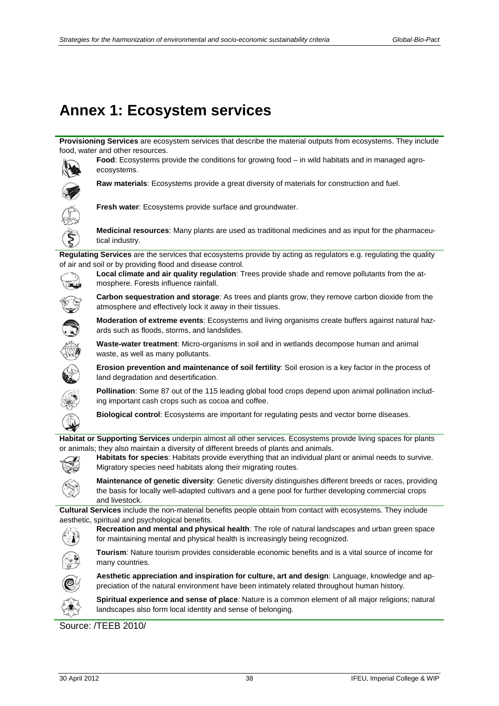## <span id="page-41-0"></span>**Annex 1: Ecosystem services**

**Provisioning Services** are ecosystem services that describe the material outputs from ecosystems. They include food, water and other resources.



**Food**: Ecosystems provide the conditions for growing food – in wild habitats and in managed agroecosystems.



**Raw materials**: Ecosystems provide a great diversity of materials for construction and fuel.



**Fresh water**: Ecosystems provide surface and groundwater.

**Medicinal resources**: Many plants are used as traditional medicines and as input for the pharmaceutical industry.

**Regulating Services** are the services that ecosystems provide by acting as regulators e.g. regulating the quality of air and soil or by providing flood and disease control.



**Local climate and air quality regulation**: Trees provide shade and remove pollutants from the atmosphere. Forests influence rainfall.



**Carbon sequestration and storage**: As trees and plants grow, they remove carbon dioxide from the atmosphere and effectively lock it away in their tissues.

**Moderation of extreme events**: Ecosystems and living organisms create buffers against natural hazards such as floods, storms, and landslides.



**Waste-water treatment**: Micro-organisms in soil and in wetlands decompose human and animal waste, as well as many pollutants.



**Erosion prevention and maintenance of soil fertility**: Soil erosion is a key factor in the process of land degradation and desertification.

**Pollination**: Some 87 out of the 115 leading global food crops depend upon animal pollination including important cash crops such as cocoa and coffee.

**Biological control**: Ecosystems are important for regulating pests and vector borne diseases.

**Habitat or Supporting Services** underpin almost all other services. Ecosystems provide living spaces for plants or animals; they also maintain a diversity of different breeds of plants and animals.



**Habitats for species**: Habitats provide everything that an individual plant or animal needs to survive. Migratory species need habitats along their migrating routes.

**Maintenance of genetic diversity**: Genetic diversity distinguishes different breeds or races, providing the basis for locally well-adapted cultivars and a gene pool for further developing commercial crops and livestock.

**Cultural Services** include the non-material benefits people obtain from contact with ecosystems. They include aesthetic, spiritual and psychological benefits.

**Recreation and mental and physical health**: The role of natural landscapes and urban green space for maintaining mental and physical health is increasingly being recognized.



**Tourism**: Nature tourism provides considerable economic benefits and is a vital source of income for many countries.



**Aesthetic appreciation and inspiration for culture, art and design**: Language, knowledge and appreciation of the natural environment have been intimately related throughout human history.



**Spiritual experience and sense of place**: Nature is a common element of all major religions; natural landscapes also form local identity and sense of belonging.

Source: /TEEB 2010/